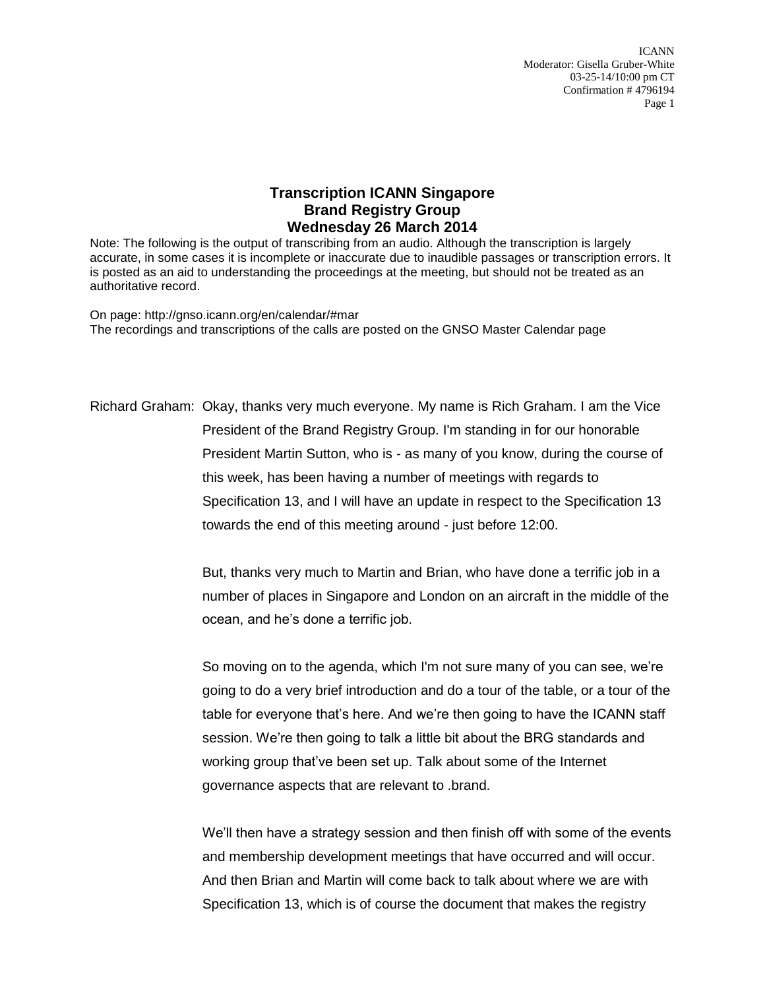ICANN Moderator: Gisella Gruber-White 03-25-14/10:00 pm CT Confirmation # 4796194 Page 1

## **Transcription ICANN Singapore Brand Registry Group Wednesday 26 March 2014**

Note: The following is the output of transcribing from an audio. Although the transcription is largely accurate, in some cases it is incomplete or inaccurate due to inaudible passages or transcription errors. It is posted as an aid to understanding the proceedings at the meeting, but should not be treated as an authoritative record.

On page: http://gnso.icann.org/en/calendar/#mar The recordings and transcriptions of the calls are posted on the GNSO Master Calendar page

Richard Graham: Okay, thanks very much everyone. My name is Rich Graham. I am the Vice President of the Brand Registry Group. I'm standing in for our honorable President Martin Sutton, who is - as many of you know, during the course of this week, has been having a number of meetings with regards to Specification 13, and I will have an update in respect to the Specification 13 towards the end of this meeting around - just before 12:00.

> But, thanks very much to Martin and Brian, who have done a terrific job in a number of places in Singapore and London on an aircraft in the middle of the ocean, and he's done a terrific job.

> So moving on to the agenda, which I'm not sure many of you can see, we're going to do a very brief introduction and do a tour of the table, or a tour of the table for everyone that's here. And we're then going to have the ICANN staff session. We're then going to talk a little bit about the BRG standards and working group that've been set up. Talk about some of the Internet governance aspects that are relevant to .brand.

> We'll then have a strategy session and then finish off with some of the events and membership development meetings that have occurred and will occur. And then Brian and Martin will come back to talk about where we are with Specification 13, which is of course the document that makes the registry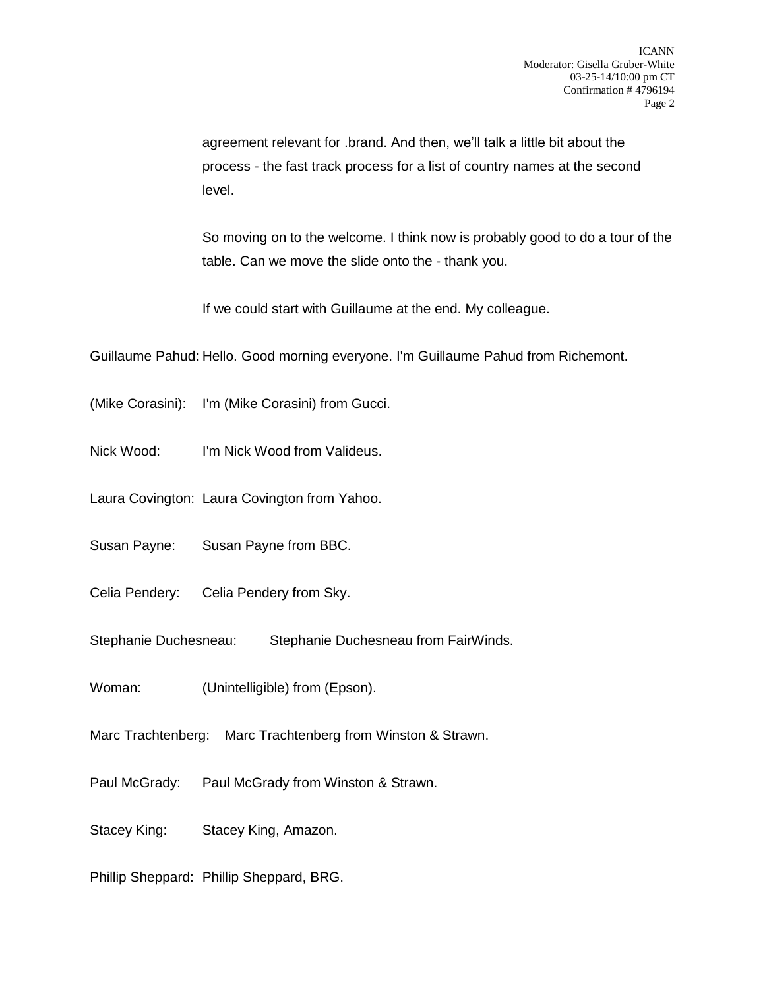agreement relevant for .brand. And then, we'll talk a little bit about the process - the fast track process for a list of country names at the second level.

So moving on to the welcome. I think now is probably good to do a tour of the table. Can we move the slide onto the - thank you.

If we could start with Guillaume at the end. My colleague.

Guillaume Pahud: Hello. Good morning everyone. I'm Guillaume Pahud from Richemont.

(Mike Corasini): I'm (Mike Corasini) from Gucci.

Nick Wood: I'm Nick Wood from Valideus.

Laura Covington: Laura Covington from Yahoo.

Susan Payne: Susan Payne from BBC.

Celia Pendery: Celia Pendery from Sky.

Stephanie Duchesneau: Stephanie Duchesneau from FairWinds.

Woman: (Unintelligible) from (Epson).

Marc Trachtenberg: Marc Trachtenberg from Winston & Strawn.

Paul McGrady: Paul McGrady from Winston & Strawn.

Stacey King: Stacey King, Amazon.

Phillip Sheppard: Phillip Sheppard, BRG.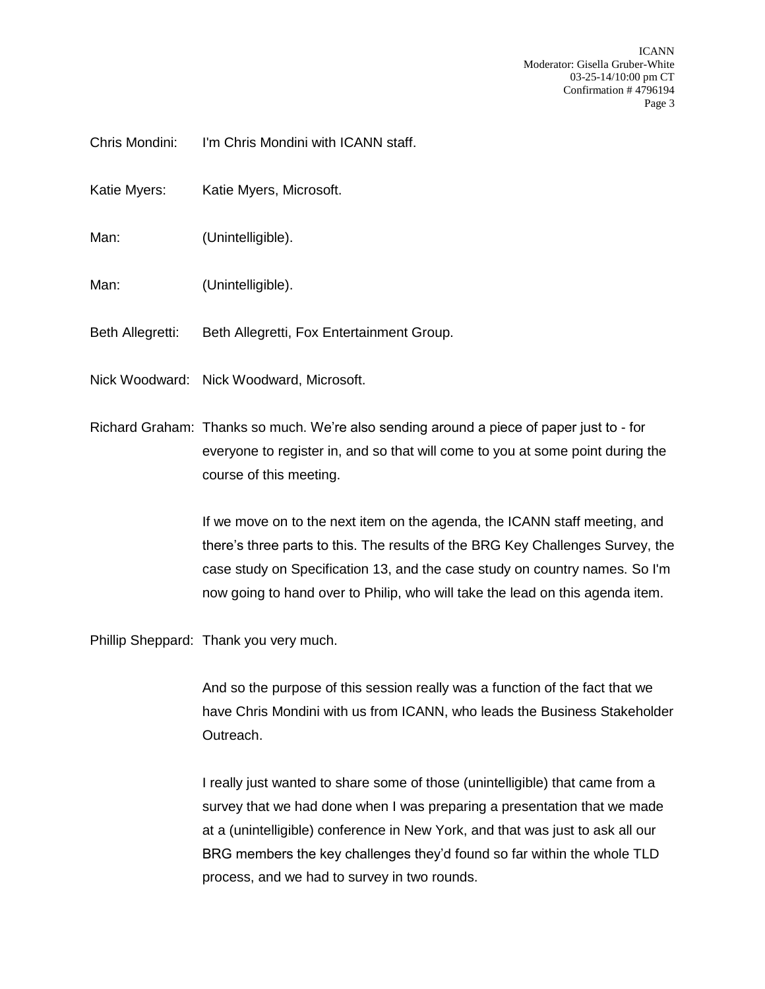ICANN Moderator: Gisella Gruber-White 03-25-14/10:00 pm CT Confirmation # 4796194 Page 3

Chris Mondini: I'm Chris Mondini with ICANN staff.

Katie Myers: Katie Myers, Microsoft.

Man: (Unintelligible).

Man: (Unintelligible).

Beth Allegretti: Beth Allegretti, Fox Entertainment Group.

Nick Woodward: Nick Woodward, Microsoft.

Richard Graham: Thanks so much. We're also sending around a piece of paper just to - for everyone to register in, and so that will come to you at some point during the course of this meeting.

> If we move on to the next item on the agenda, the ICANN staff meeting, and there's three parts to this. The results of the BRG Key Challenges Survey, the case study on Specification 13, and the case study on country names. So I'm now going to hand over to Philip, who will take the lead on this agenda item.

Phillip Sheppard: Thank you very much.

And so the purpose of this session really was a function of the fact that we have Chris Mondini with us from ICANN, who leads the Business Stakeholder Outreach.

I really just wanted to share some of those (unintelligible) that came from a survey that we had done when I was preparing a presentation that we made at a (unintelligible) conference in New York, and that was just to ask all our BRG members the key challenges they'd found so far within the whole TLD process, and we had to survey in two rounds.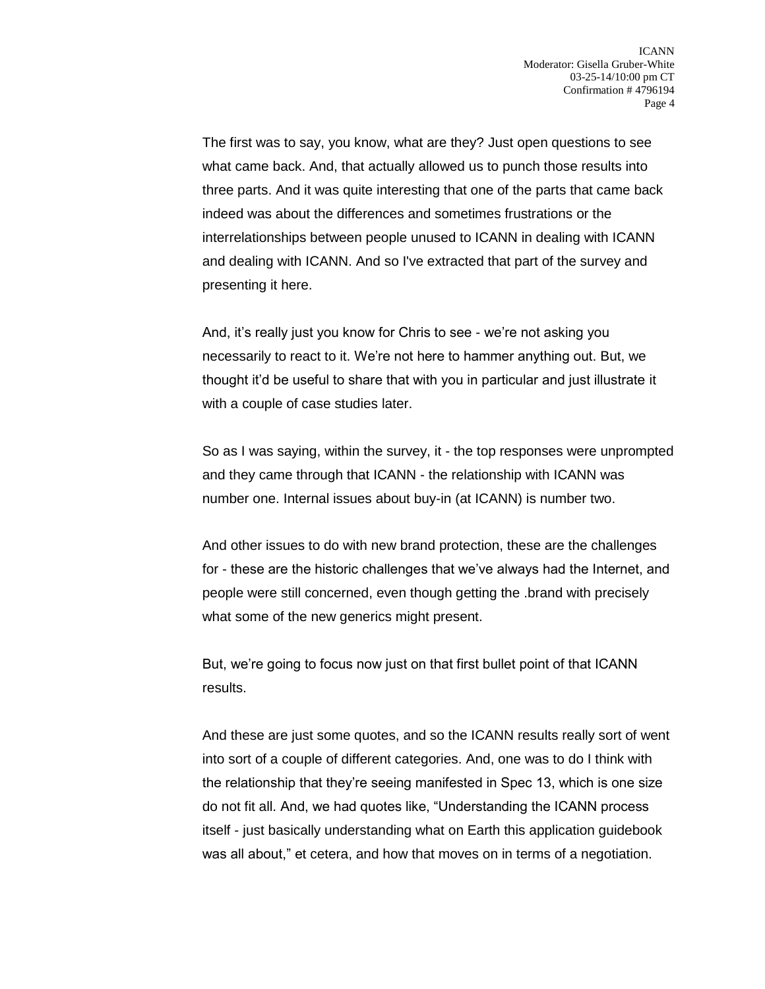The first was to say, you know, what are they? Just open questions to see what came back. And, that actually allowed us to punch those results into three parts. And it was quite interesting that one of the parts that came back indeed was about the differences and sometimes frustrations or the interrelationships between people unused to ICANN in dealing with ICANN and dealing with ICANN. And so I've extracted that part of the survey and presenting it here.

And, it's really just you know for Chris to see - we're not asking you necessarily to react to it. We're not here to hammer anything out. But, we thought it'd be useful to share that with you in particular and just illustrate it with a couple of case studies later.

So as I was saying, within the survey, it - the top responses were unprompted and they came through that ICANN - the relationship with ICANN was number one. Internal issues about buy-in (at ICANN) is number two.

And other issues to do with new brand protection, these are the challenges for - these are the historic challenges that we've always had the Internet, and people were still concerned, even though getting the .brand with precisely what some of the new generics might present.

But, we're going to focus now just on that first bullet point of that ICANN results.

And these are just some quotes, and so the ICANN results really sort of went into sort of a couple of different categories. And, one was to do I think with the relationship that they're seeing manifested in Spec 13, which is one size do not fit all. And, we had quotes like, "Understanding the ICANN process itself - just basically understanding what on Earth this application guidebook was all about," et cetera, and how that moves on in terms of a negotiation.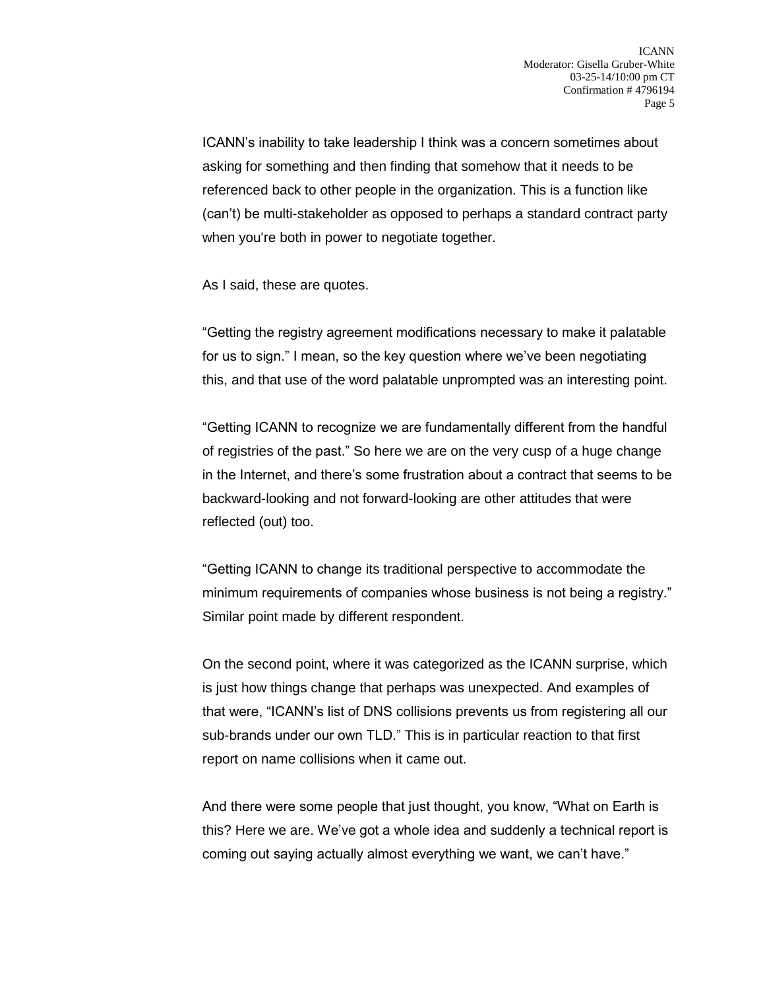ICANN's inability to take leadership I think was a concern sometimes about asking for something and then finding that somehow that it needs to be referenced back to other people in the organization. This is a function like (can't) be multi-stakeholder as opposed to perhaps a standard contract party when you're both in power to negotiate together.

As I said, these are quotes.

"Getting the registry agreement modifications necessary to make it palatable for us to sign." I mean, so the key question where we've been negotiating this, and that use of the word palatable unprompted was an interesting point.

"Getting ICANN to recognize we are fundamentally different from the handful of registries of the past." So here we are on the very cusp of a huge change in the Internet, and there's some frustration about a contract that seems to be backward-looking and not forward-looking are other attitudes that were reflected (out) too.

"Getting ICANN to change its traditional perspective to accommodate the minimum requirements of companies whose business is not being a registry." Similar point made by different respondent.

On the second point, where it was categorized as the ICANN surprise, which is just how things change that perhaps was unexpected. And examples of that were, "ICANN's list of DNS collisions prevents us from registering all our sub-brands under our own TLD." This is in particular reaction to that first report on name collisions when it came out.

And there were some people that just thought, you know, "What on Earth is this? Here we are. We've got a whole idea and suddenly a technical report is coming out saying actually almost everything we want, we can't have."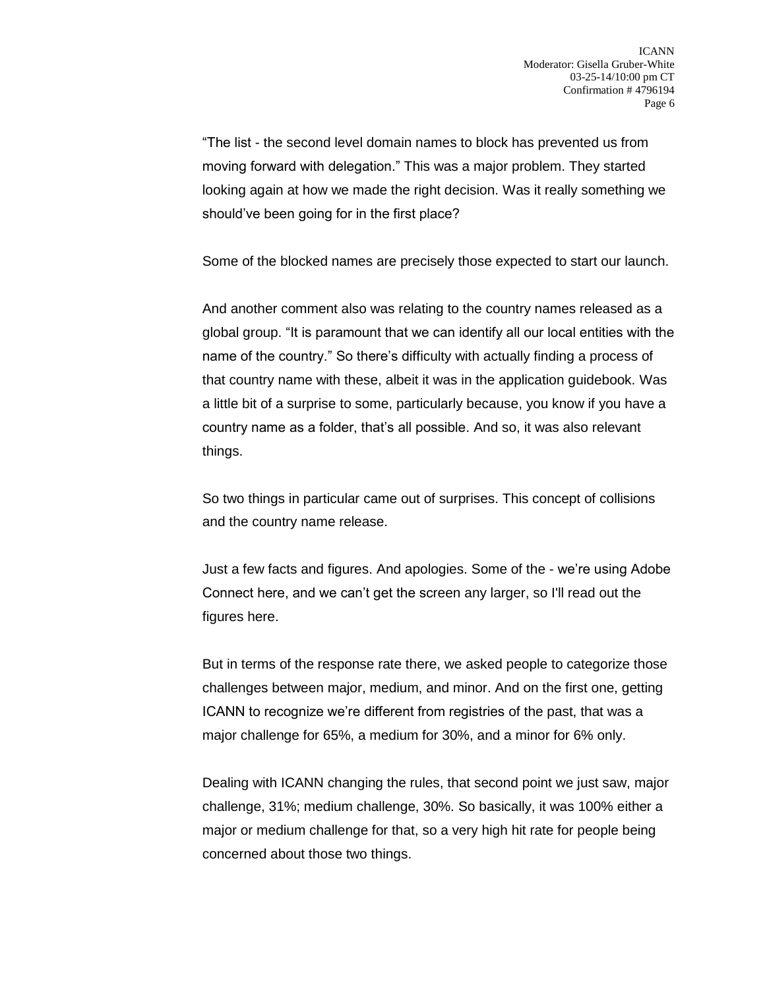"The list - the second level domain names to block has prevented us from moving forward with delegation." This was a major problem. They started looking again at how we made the right decision. Was it really something we should've been going for in the first place?

Some of the blocked names are precisely those expected to start our launch.

And another comment also was relating to the country names released as a global group. "It is paramount that we can identify all our local entities with the name of the country." So there's difficulty with actually finding a process of that country name with these, albeit it was in the application guidebook. Was a little bit of a surprise to some, particularly because, you know if you have a country name as a folder, that's all possible. And so, it was also relevant things.

So two things in particular came out of surprises. This concept of collisions and the country name release.

Just a few facts and figures. And apologies. Some of the - we're using Adobe Connect here, and we can't get the screen any larger, so I'll read out the figures here.

But in terms of the response rate there, we asked people to categorize those challenges between major, medium, and minor. And on the first one, getting ICANN to recognize we're different from registries of the past, that was a major challenge for 65%, a medium for 30%, and a minor for 6% only.

Dealing with ICANN changing the rules, that second point we just saw, major challenge, 31%; medium challenge, 30%. So basically, it was 100% either a major or medium challenge for that, so a very high hit rate for people being concerned about those two things.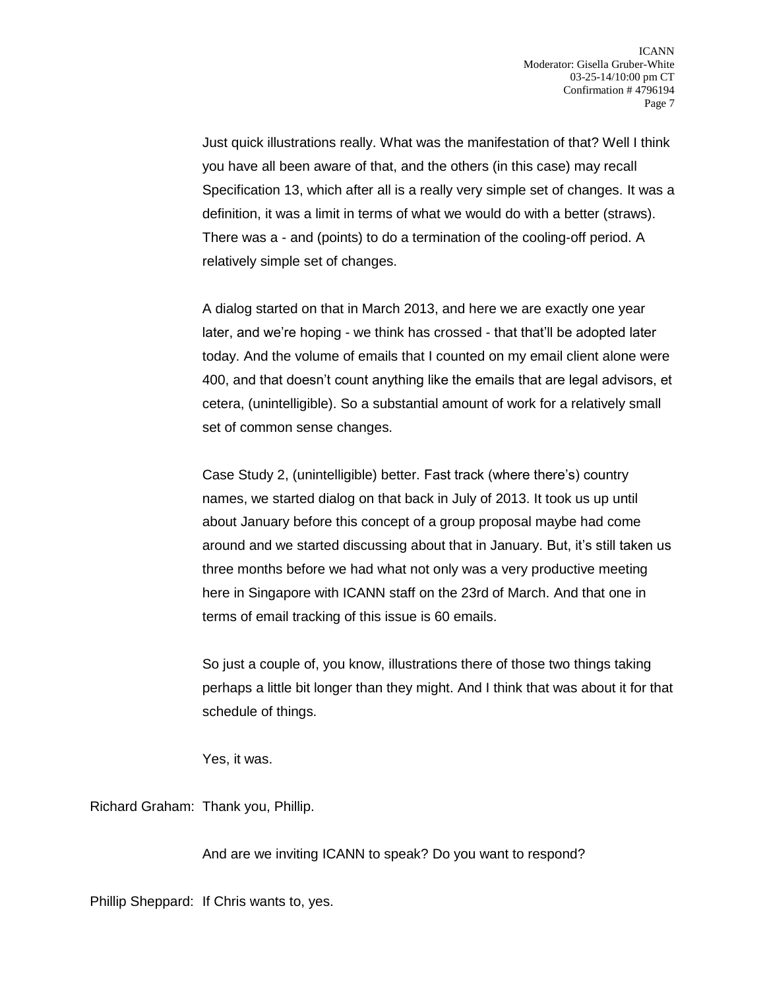Just quick illustrations really. What was the manifestation of that? Well I think you have all been aware of that, and the others (in this case) may recall Specification 13, which after all is a really very simple set of changes. It was a definition, it was a limit in terms of what we would do with a better (straws). There was a - and (points) to do a termination of the cooling-off period. A relatively simple set of changes.

A dialog started on that in March 2013, and here we are exactly one year later, and we're hoping - we think has crossed - that that'll be adopted later today. And the volume of emails that I counted on my email client alone were 400, and that doesn't count anything like the emails that are legal advisors, et cetera, (unintelligible). So a substantial amount of work for a relatively small set of common sense changes.

Case Study 2, (unintelligible) better. Fast track (where there's) country names, we started dialog on that back in July of 2013. It took us up until about January before this concept of a group proposal maybe had come around and we started discussing about that in January. But, it's still taken us three months before we had what not only was a very productive meeting here in Singapore with ICANN staff on the 23rd of March. And that one in terms of email tracking of this issue is 60 emails.

So just a couple of, you know, illustrations there of those two things taking perhaps a little bit longer than they might. And I think that was about it for that schedule of things.

Yes, it was.

Richard Graham: Thank you, Phillip.

And are we inviting ICANN to speak? Do you want to respond?

Phillip Sheppard: If Chris wants to, yes.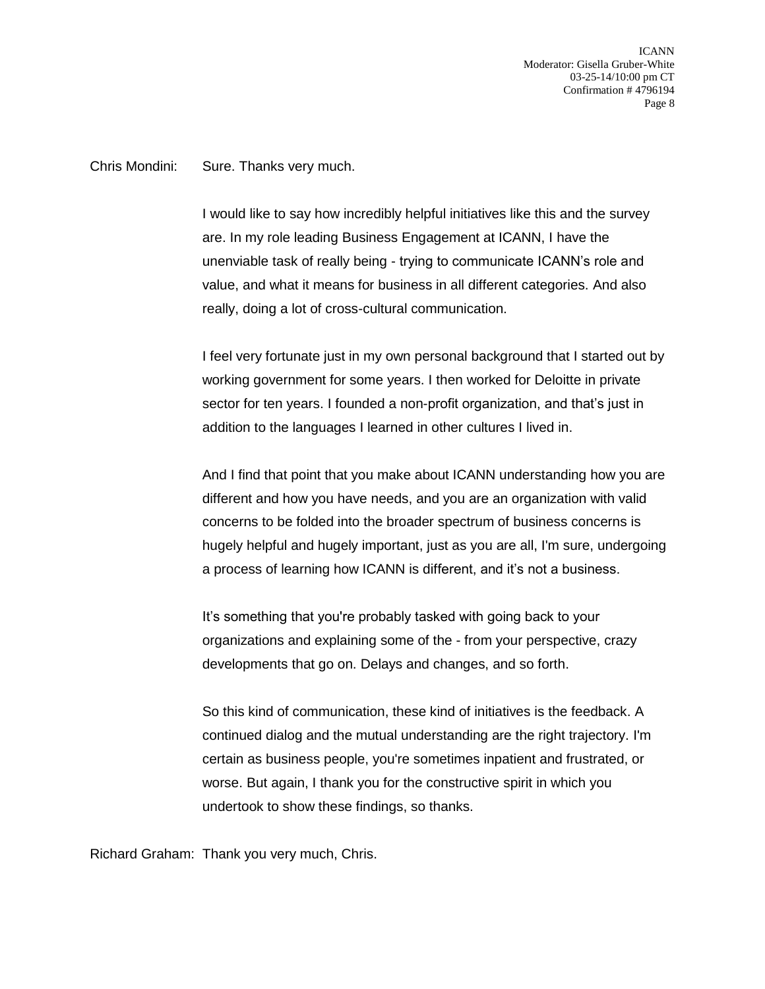ICANN Moderator: Gisella Gruber-White 03-25-14/10:00 pm CT Confirmation # 4796194 Page 8

Chris Mondini: Sure. Thanks very much.

I would like to say how incredibly helpful initiatives like this and the survey are. In my role leading Business Engagement at ICANN, I have the unenviable task of really being - trying to communicate ICANN's role and value, and what it means for business in all different categories. And also really, doing a lot of cross-cultural communication.

I feel very fortunate just in my own personal background that I started out by working government for some years. I then worked for Deloitte in private sector for ten years. I founded a non-profit organization, and that's just in addition to the languages I learned in other cultures I lived in.

And I find that point that you make about ICANN understanding how you are different and how you have needs, and you are an organization with valid concerns to be folded into the broader spectrum of business concerns is hugely helpful and hugely important, just as you are all, I'm sure, undergoing a process of learning how ICANN is different, and it's not a business.

It's something that you're probably tasked with going back to your organizations and explaining some of the - from your perspective, crazy developments that go on. Delays and changes, and so forth.

So this kind of communication, these kind of initiatives is the feedback. A continued dialog and the mutual understanding are the right trajectory. I'm certain as business people, you're sometimes inpatient and frustrated, or worse. But again, I thank you for the constructive spirit in which you undertook to show these findings, so thanks.

Richard Graham: Thank you very much, Chris.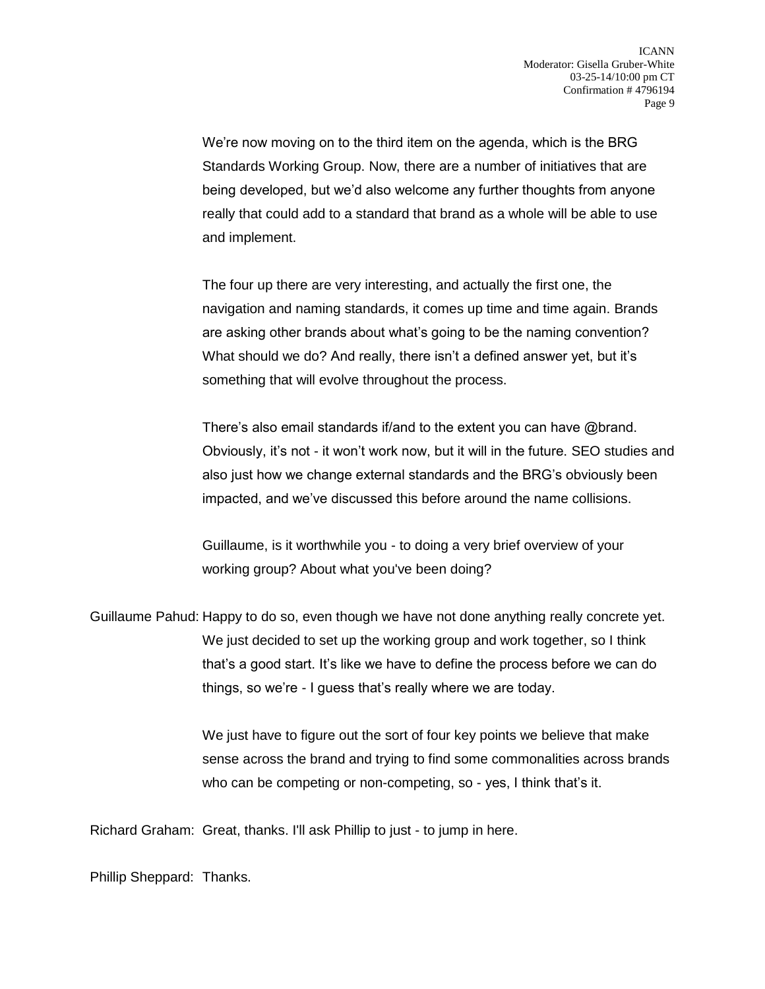We're now moving on to the third item on the agenda, which is the BRG Standards Working Group. Now, there are a number of initiatives that are being developed, but we'd also welcome any further thoughts from anyone really that could add to a standard that brand as a whole will be able to use and implement.

The four up there are very interesting, and actually the first one, the navigation and naming standards, it comes up time and time again. Brands are asking other brands about what's going to be the naming convention? What should we do? And really, there isn't a defined answer yet, but it's something that will evolve throughout the process.

There's also email standards if/and to the extent you can have @brand. Obviously, it's not - it won't work now, but it will in the future. SEO studies and also just how we change external standards and the BRG's obviously been impacted, and we've discussed this before around the name collisions.

Guillaume, is it worthwhile you - to doing a very brief overview of your working group? About what you've been doing?

Guillaume Pahud: Happy to do so, even though we have not done anything really concrete yet. We just decided to set up the working group and work together, so I think that's a good start. It's like we have to define the process before we can do things, so we're - I guess that's really where we are today.

> We just have to figure out the sort of four key points we believe that make sense across the brand and trying to find some commonalities across brands who can be competing or non-competing, so - yes, I think that's it.

Richard Graham: Great, thanks. I'll ask Phillip to just - to jump in here.

Phillip Sheppard: Thanks.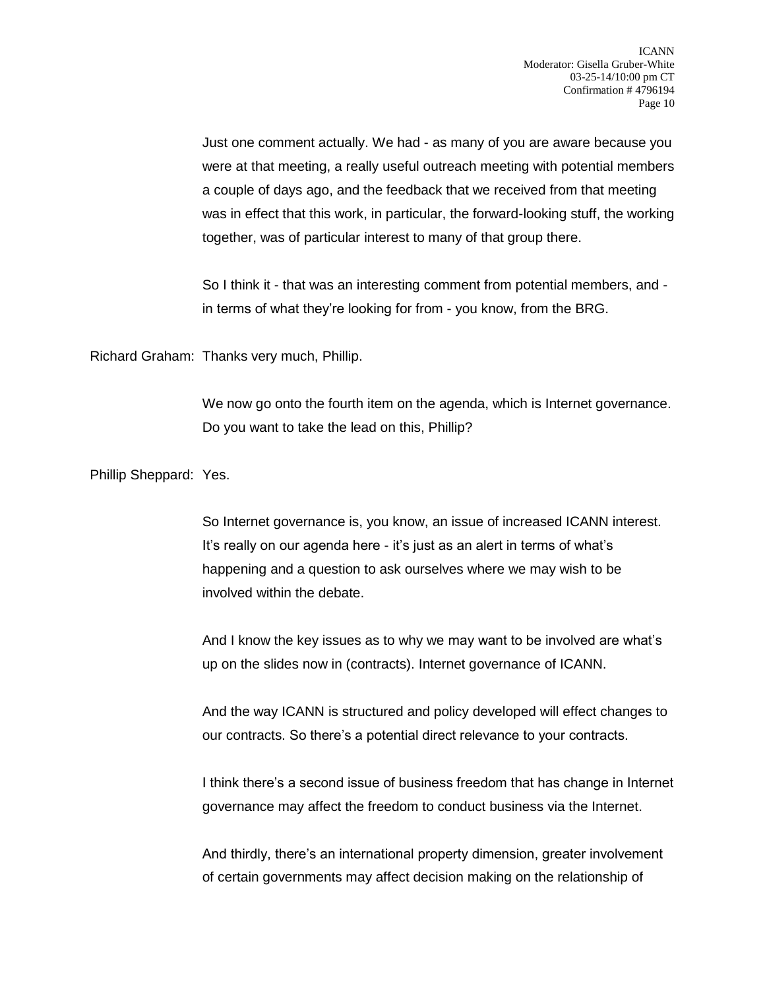Just one comment actually. We had - as many of you are aware because you were at that meeting, a really useful outreach meeting with potential members a couple of days ago, and the feedback that we received from that meeting was in effect that this work, in particular, the forward-looking stuff, the working together, was of particular interest to many of that group there.

So I think it - that was an interesting comment from potential members, and in terms of what they're looking for from - you know, from the BRG.

Richard Graham: Thanks very much, Phillip.

We now go onto the fourth item on the agenda, which is Internet governance. Do you want to take the lead on this, Phillip?

Phillip Sheppard: Yes.

So Internet governance is, you know, an issue of increased ICANN interest. It's really on our agenda here - it's just as an alert in terms of what's happening and a question to ask ourselves where we may wish to be involved within the debate.

And I know the key issues as to why we may want to be involved are what's up on the slides now in (contracts). Internet governance of ICANN.

And the way ICANN is structured and policy developed will effect changes to our contracts. So there's a potential direct relevance to your contracts.

I think there's a second issue of business freedom that has change in Internet governance may affect the freedom to conduct business via the Internet.

And thirdly, there's an international property dimension, greater involvement of certain governments may affect decision making on the relationship of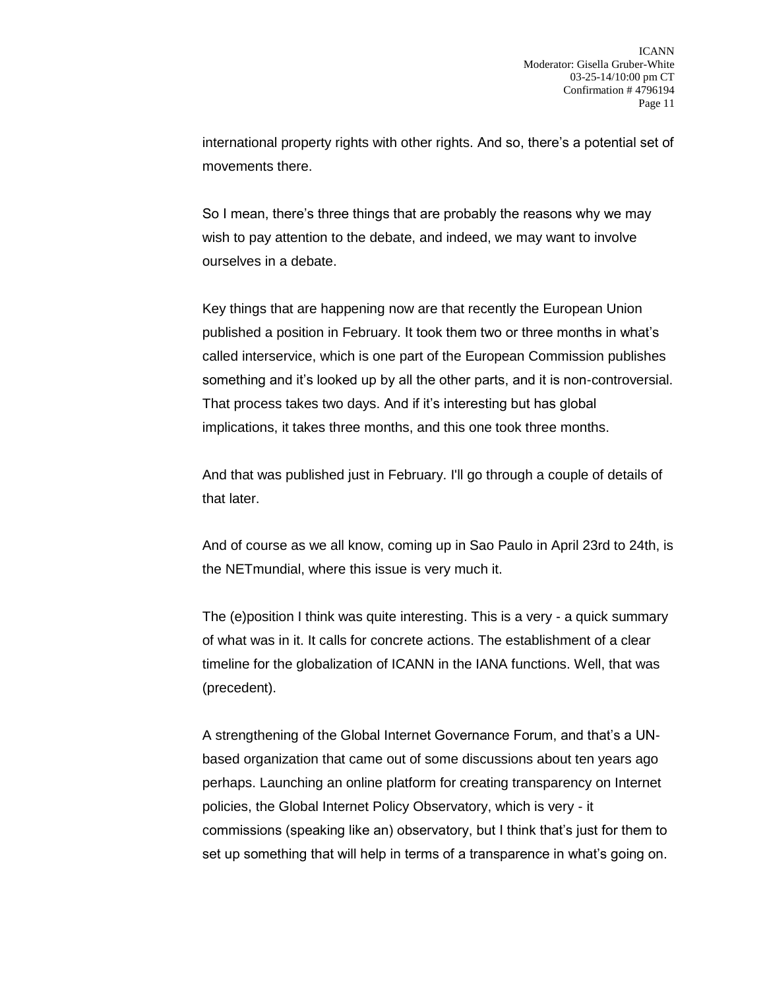international property rights with other rights. And so, there's a potential set of movements there.

So I mean, there's three things that are probably the reasons why we may wish to pay attention to the debate, and indeed, we may want to involve ourselves in a debate.

Key things that are happening now are that recently the European Union published a position in February. It took them two or three months in what's called interservice, which is one part of the European Commission publishes something and it's looked up by all the other parts, and it is non-controversial. That process takes two days. And if it's interesting but has global implications, it takes three months, and this one took three months.

And that was published just in February. I'll go through a couple of details of that later.

And of course as we all know, coming up in Sao Paulo in April 23rd to 24th, is the NETmundial, where this issue is very much it.

The (e)position I think was quite interesting. This is a very - a quick summary of what was in it. It calls for concrete actions. The establishment of a clear timeline for the globalization of ICANN in the IANA functions. Well, that was (precedent).

A strengthening of the Global Internet Governance Forum, and that's a UNbased organization that came out of some discussions about ten years ago perhaps. Launching an online platform for creating transparency on Internet policies, the Global Internet Policy Observatory, which is very - it commissions (speaking like an) observatory, but I think that's just for them to set up something that will help in terms of a transparence in what's going on.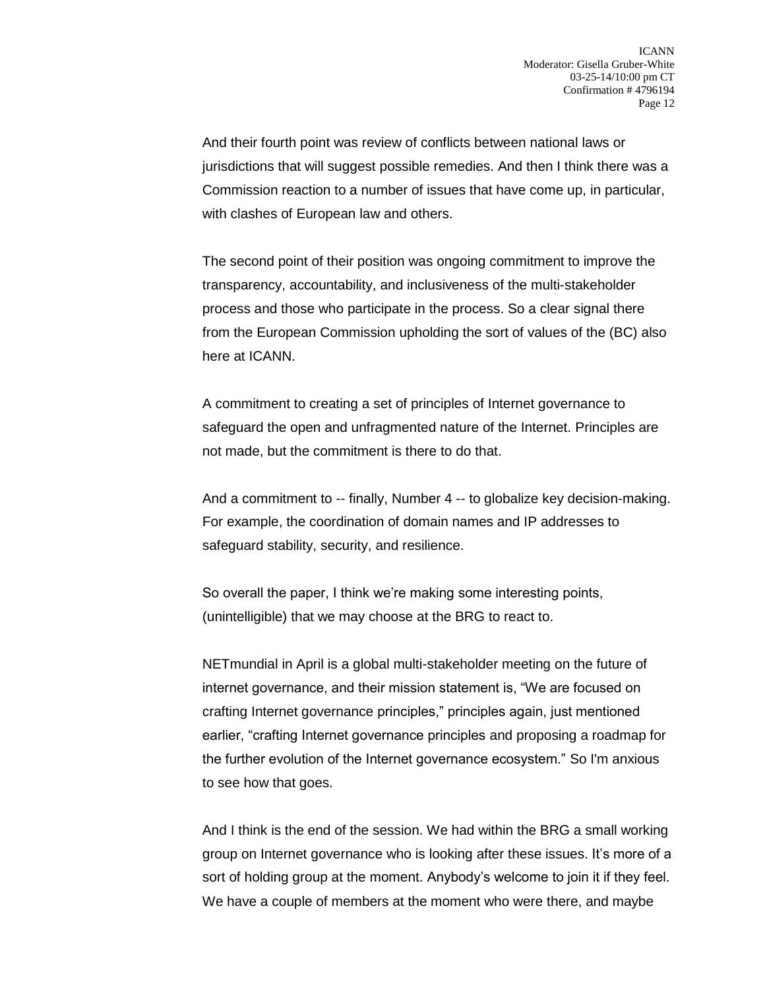And their fourth point was review of conflicts between national laws or jurisdictions that will suggest possible remedies. And then I think there was a Commission reaction to a number of issues that have come up, in particular, with clashes of European law and others.

The second point of their position was ongoing commitment to improve the transparency, accountability, and inclusiveness of the multi-stakeholder process and those who participate in the process. So a clear signal there from the European Commission upholding the sort of values of the (BC) also here at ICANN.

A commitment to creating a set of principles of Internet governance to safeguard the open and unfragmented nature of the Internet. Principles are not made, but the commitment is there to do that.

And a commitment to -- finally, Number 4 -- to globalize key decision-making. For example, the coordination of domain names and IP addresses to safeguard stability, security, and resilience.

So overall the paper, I think we're making some interesting points, (unintelligible) that we may choose at the BRG to react to.

NETmundial in April is a global multi-stakeholder meeting on the future of internet governance, and their mission statement is, "We are focused on crafting Internet governance principles," principles again, just mentioned earlier, "crafting Internet governance principles and proposing a roadmap for the further evolution of the Internet governance ecosystem." So I'm anxious to see how that goes.

And I think is the end of the session. We had within the BRG a small working group on Internet governance who is looking after these issues. It's more of a sort of holding group at the moment. Anybody's welcome to join it if they feel. We have a couple of members at the moment who were there, and maybe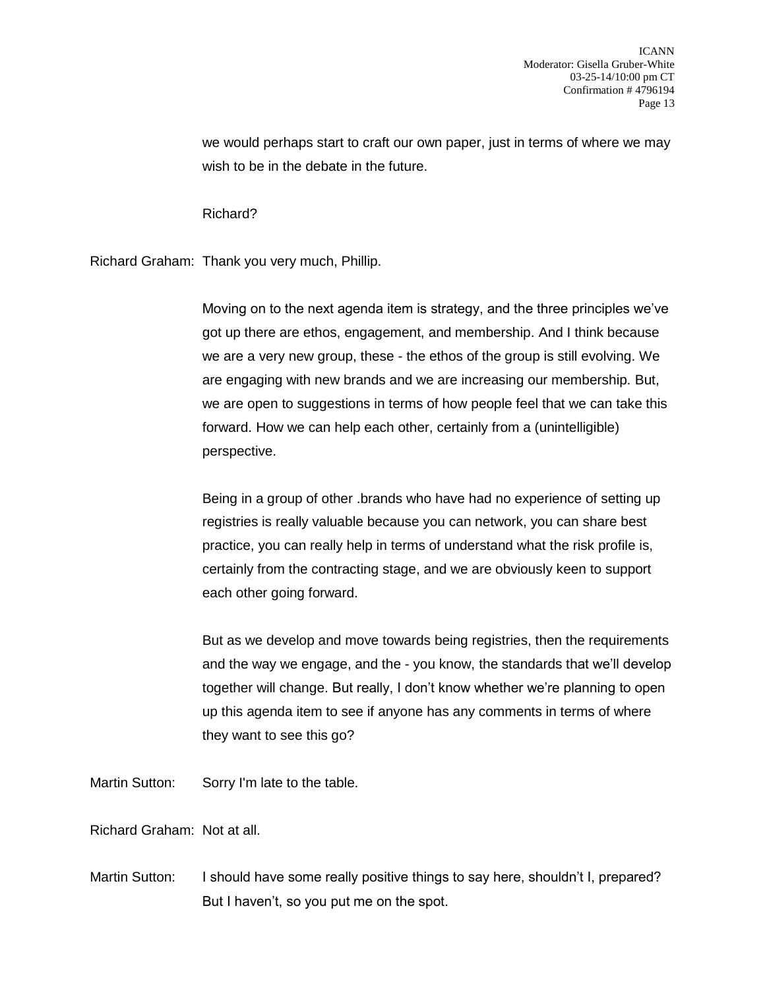we would perhaps start to craft our own paper, just in terms of where we may wish to be in the debate in the future.

Richard?

Richard Graham: Thank you very much, Phillip.

Moving on to the next agenda item is strategy, and the three principles we've got up there are ethos, engagement, and membership. And I think because we are a very new group, these - the ethos of the group is still evolving. We are engaging with new brands and we are increasing our membership. But, we are open to suggestions in terms of how people feel that we can take this forward. How we can help each other, certainly from a (unintelligible) perspective.

Being in a group of other .brands who have had no experience of setting up registries is really valuable because you can network, you can share best practice, you can really help in terms of understand what the risk profile is, certainly from the contracting stage, and we are obviously keen to support each other going forward.

But as we develop and move towards being registries, then the requirements and the way we engage, and the - you know, the standards that we'll develop together will change. But really, I don't know whether we're planning to open up this agenda item to see if anyone has any comments in terms of where they want to see this go?

Martin Sutton: Sorry I'm late to the table.

Richard Graham: Not at all.

Martin Sutton: I should have some really positive things to say here, shouldn't I, prepared? But I haven't, so you put me on the spot.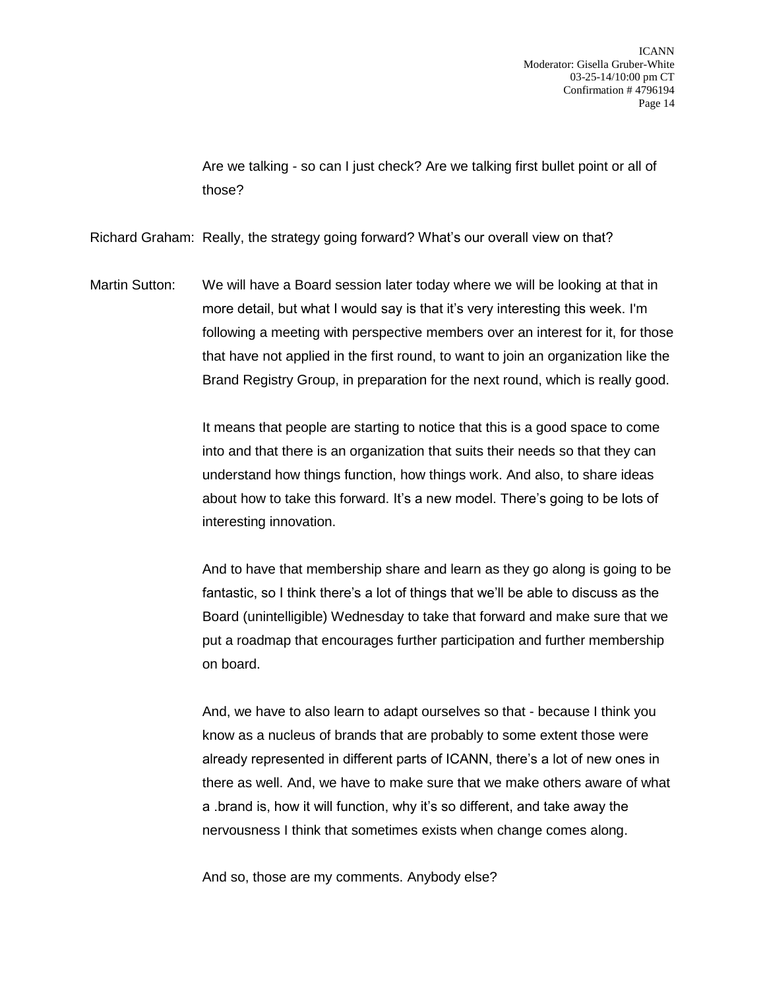Are we talking - so can I just check? Are we talking first bullet point or all of those?

Richard Graham: Really, the strategy going forward? What's our overall view on that?

Martin Sutton: We will have a Board session later today where we will be looking at that in more detail, but what I would say is that it's very interesting this week. I'm following a meeting with perspective members over an interest for it, for those that have not applied in the first round, to want to join an organization like the Brand Registry Group, in preparation for the next round, which is really good.

> It means that people are starting to notice that this is a good space to come into and that there is an organization that suits their needs so that they can understand how things function, how things work. And also, to share ideas about how to take this forward. It's a new model. There's going to be lots of interesting innovation.

And to have that membership share and learn as they go along is going to be fantastic, so I think there's a lot of things that we'll be able to discuss as the Board (unintelligible) Wednesday to take that forward and make sure that we put a roadmap that encourages further participation and further membership on board.

And, we have to also learn to adapt ourselves so that - because I think you know as a nucleus of brands that are probably to some extent those were already represented in different parts of ICANN, there's a lot of new ones in there as well. And, we have to make sure that we make others aware of what a .brand is, how it will function, why it's so different, and take away the nervousness I think that sometimes exists when change comes along.

And so, those are my comments. Anybody else?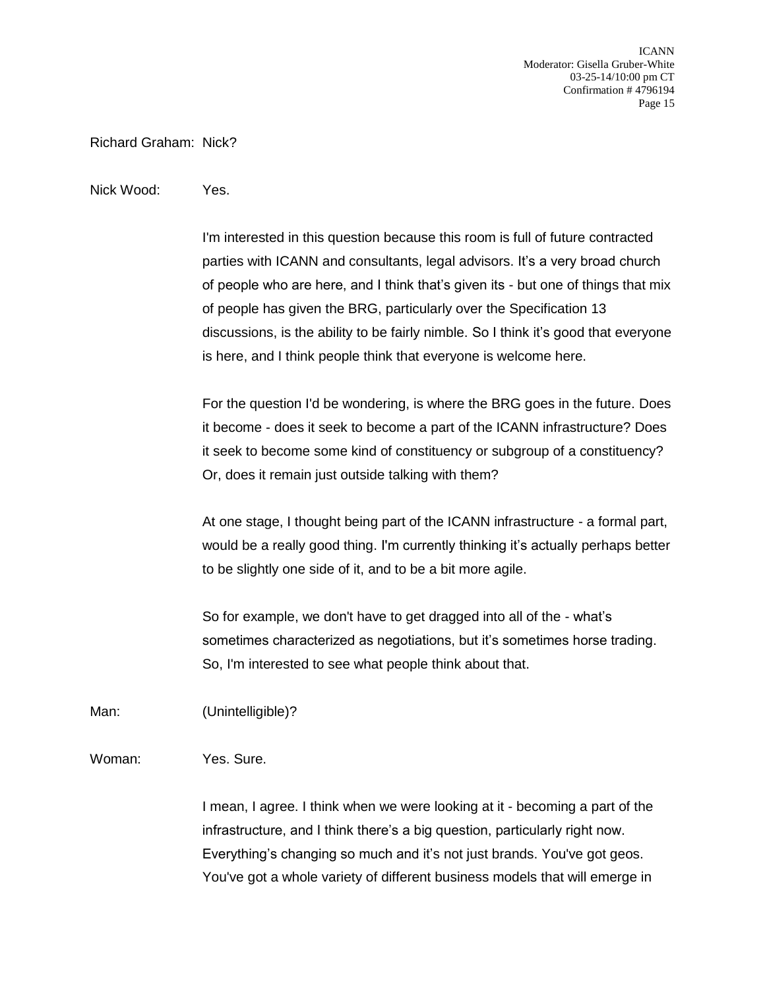ICANN Moderator: Gisella Gruber-White 03-25-14/10:00 pm CT Confirmation # 4796194 Page 15

Richard Graham: Nick?

## Nick Wood: Yes.

I'm interested in this question because this room is full of future contracted parties with ICANN and consultants, legal advisors. It's a very broad church of people who are here, and I think that's given its - but one of things that mix of people has given the BRG, particularly over the Specification 13 discussions, is the ability to be fairly nimble. So I think it's good that everyone is here, and I think people think that everyone is welcome here.

For the question I'd be wondering, is where the BRG goes in the future. Does it become - does it seek to become a part of the ICANN infrastructure? Does it seek to become some kind of constituency or subgroup of a constituency? Or, does it remain just outside talking with them?

At one stage, I thought being part of the ICANN infrastructure - a formal part, would be a really good thing. I'm currently thinking it's actually perhaps better to be slightly one side of it, and to be a bit more agile.

So for example, we don't have to get dragged into all of the - what's sometimes characterized as negotiations, but it's sometimes horse trading. So, I'm interested to see what people think about that.

Man: (Unintelligible)?

Woman: Yes. Sure.

I mean, I agree. I think when we were looking at it - becoming a part of the infrastructure, and I think there's a big question, particularly right now. Everything's changing so much and it's not just brands. You've got geos. You've got a whole variety of different business models that will emerge in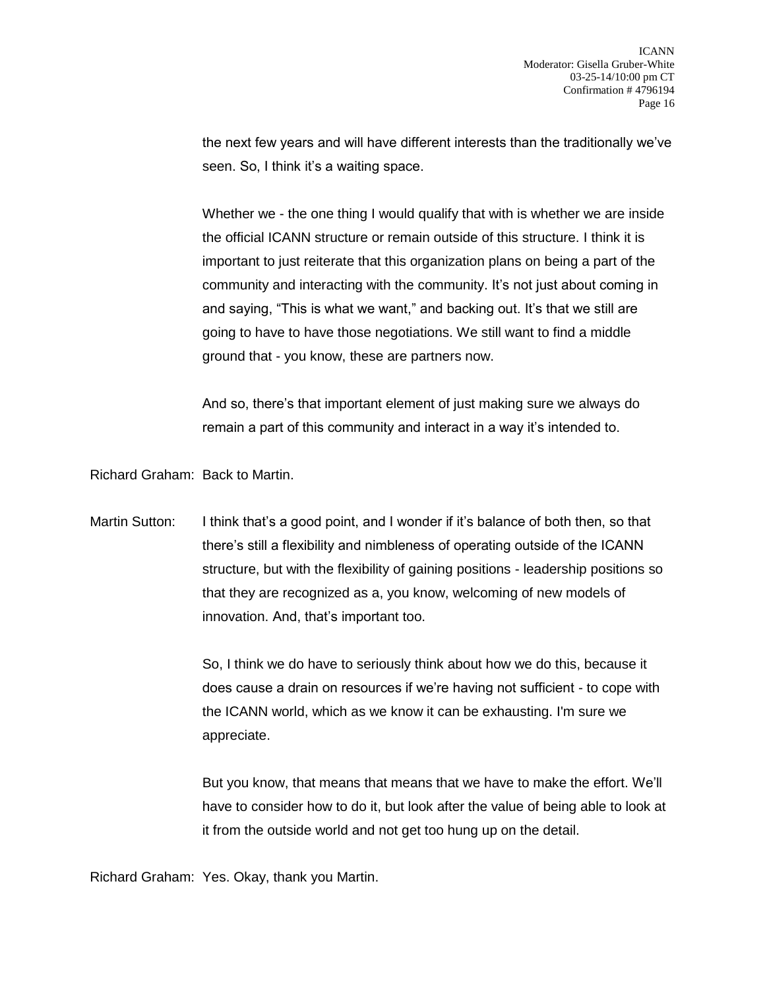the next few years and will have different interests than the traditionally we've seen. So, I think it's a waiting space.

Whether we - the one thing I would qualify that with is whether we are inside the official ICANN structure or remain outside of this structure. I think it is important to just reiterate that this organization plans on being a part of the community and interacting with the community. It's not just about coming in and saying, "This is what we want," and backing out. It's that we still are going to have to have those negotiations. We still want to find a middle ground that - you know, these are partners now.

And so, there's that important element of just making sure we always do remain a part of this community and interact in a way it's intended to.

Richard Graham: Back to Martin.

Martin Sutton: I think that's a good point, and I wonder if it's balance of both then, so that there's still a flexibility and nimbleness of operating outside of the ICANN structure, but with the flexibility of gaining positions - leadership positions so that they are recognized as a, you know, welcoming of new models of innovation. And, that's important too.

> So, I think we do have to seriously think about how we do this, because it does cause a drain on resources if we're having not sufficient - to cope with the ICANN world, which as we know it can be exhausting. I'm sure we appreciate.

But you know, that means that means that we have to make the effort. We'll have to consider how to do it, but look after the value of being able to look at it from the outside world and not get too hung up on the detail.

Richard Graham: Yes. Okay, thank you Martin.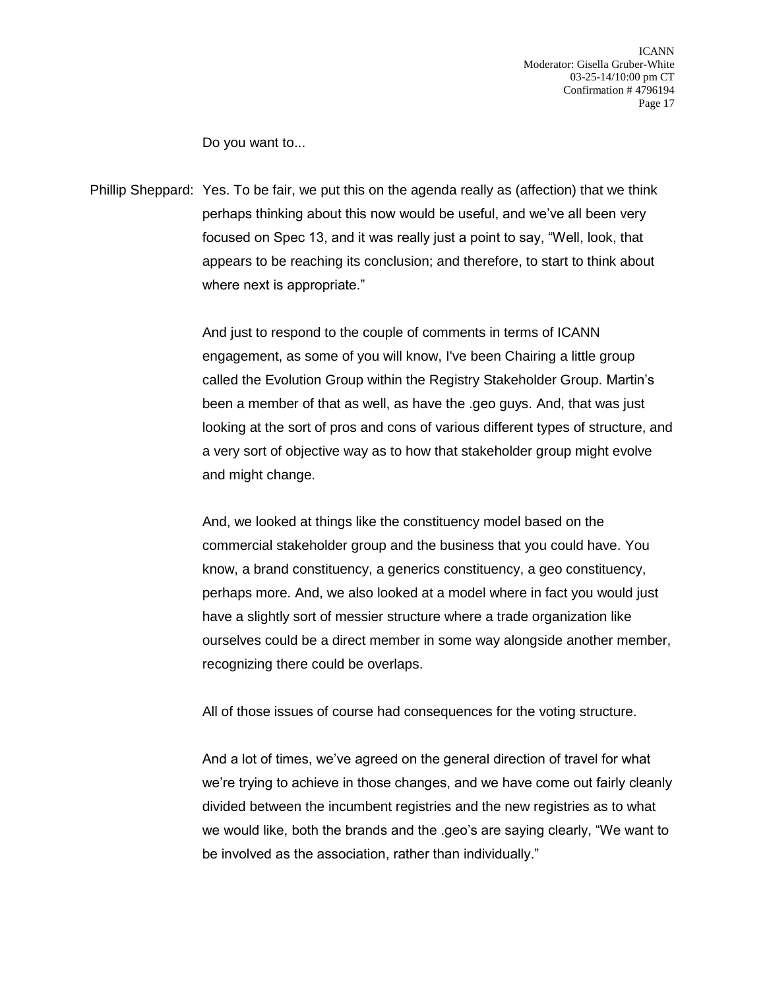Do you want to...

Phillip Sheppard: Yes. To be fair, we put this on the agenda really as (affection) that we think perhaps thinking about this now would be useful, and we've all been very focused on Spec 13, and it was really just a point to say, "Well, look, that appears to be reaching its conclusion; and therefore, to start to think about where next is appropriate."

> And just to respond to the couple of comments in terms of ICANN engagement, as some of you will know, I've been Chairing a little group called the Evolution Group within the Registry Stakeholder Group. Martin's been a member of that as well, as have the .geo guys. And, that was just looking at the sort of pros and cons of various different types of structure, and a very sort of objective way as to how that stakeholder group might evolve and might change.

> And, we looked at things like the constituency model based on the commercial stakeholder group and the business that you could have. You know, a brand constituency, a generics constituency, a geo constituency, perhaps more. And, we also looked at a model where in fact you would just have a slightly sort of messier structure where a trade organization like ourselves could be a direct member in some way alongside another member, recognizing there could be overlaps.

All of those issues of course had consequences for the voting structure.

And a lot of times, we've agreed on the general direction of travel for what we're trying to achieve in those changes, and we have come out fairly cleanly divided between the incumbent registries and the new registries as to what we would like, both the brands and the .geo's are saying clearly, "We want to be involved as the association, rather than individually."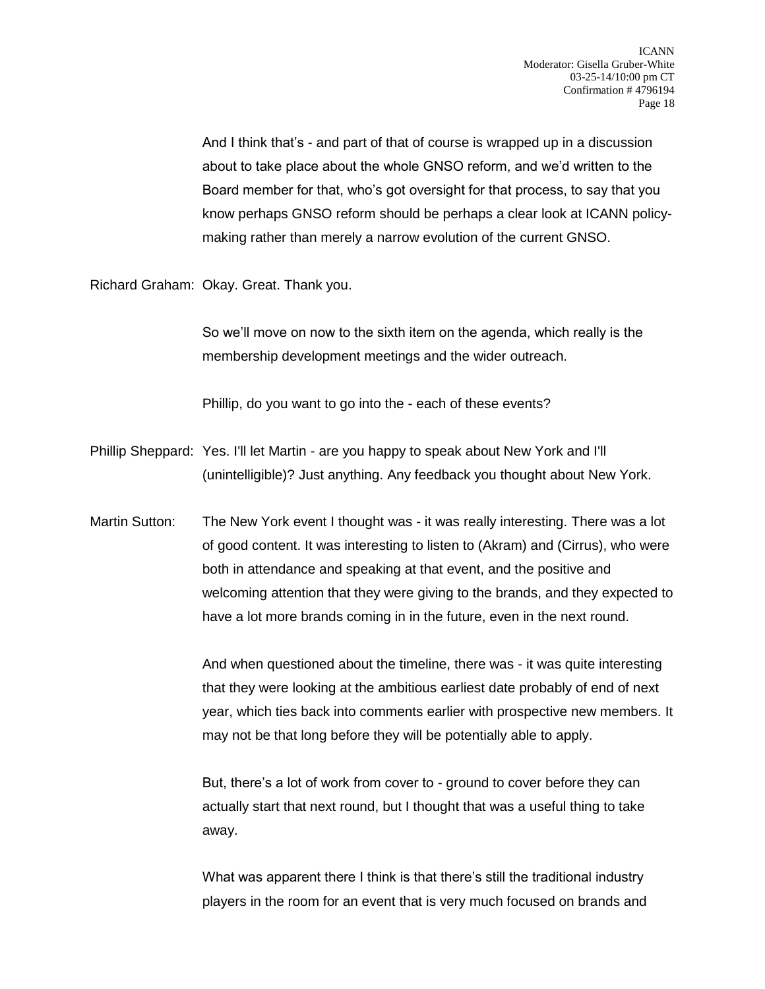And I think that's - and part of that of course is wrapped up in a discussion about to take place about the whole GNSO reform, and we'd written to the Board member for that, who's got oversight for that process, to say that you know perhaps GNSO reform should be perhaps a clear look at ICANN policymaking rather than merely a narrow evolution of the current GNSO.

Richard Graham: Okay. Great. Thank you.

So we'll move on now to the sixth item on the agenda, which really is the membership development meetings and the wider outreach.

Phillip, do you want to go into the - each of these events?

Phillip Sheppard: Yes. I'll let Martin - are you happy to speak about New York and I'll (unintelligible)? Just anything. Any feedback you thought about New York.

Martin Sutton: The New York event I thought was - it was really interesting. There was a lot of good content. It was interesting to listen to (Akram) and (Cirrus), who were both in attendance and speaking at that event, and the positive and welcoming attention that they were giving to the brands, and they expected to have a lot more brands coming in in the future, even in the next round.

> And when questioned about the timeline, there was - it was quite interesting that they were looking at the ambitious earliest date probably of end of next year, which ties back into comments earlier with prospective new members. It may not be that long before they will be potentially able to apply.

But, there's a lot of work from cover to - ground to cover before they can actually start that next round, but I thought that was a useful thing to take away.

What was apparent there I think is that there's still the traditional industry players in the room for an event that is very much focused on brands and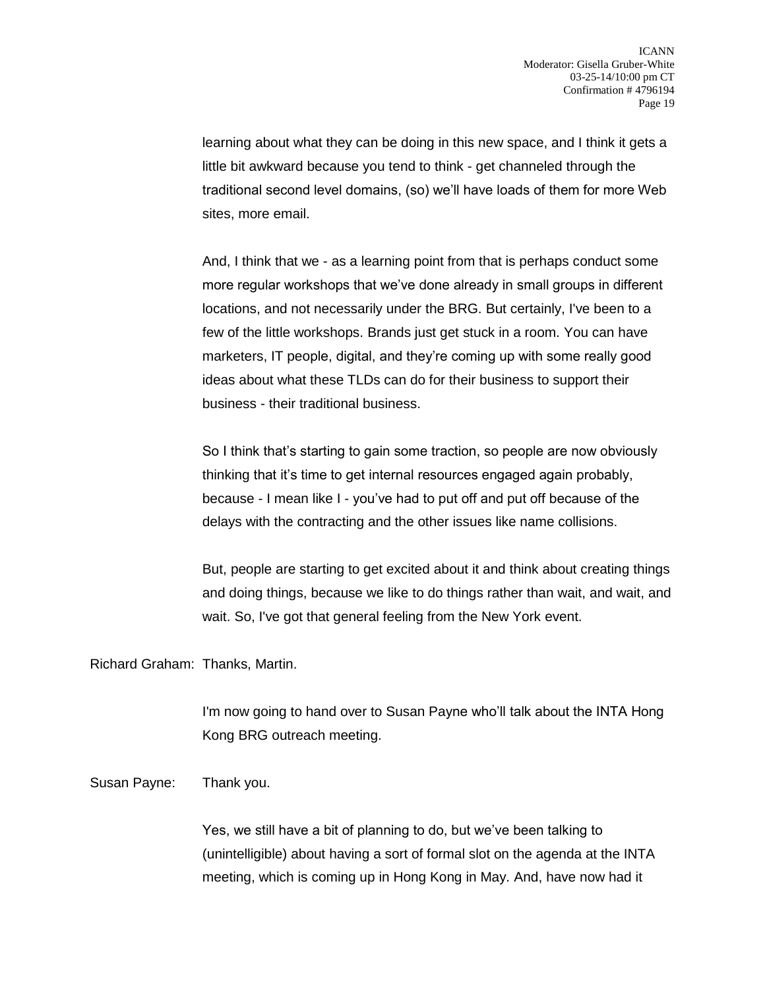learning about what they can be doing in this new space, and I think it gets a little bit awkward because you tend to think - get channeled through the traditional second level domains, (so) we'll have loads of them for more Web sites, more email.

And, I think that we - as a learning point from that is perhaps conduct some more regular workshops that we've done already in small groups in different locations, and not necessarily under the BRG. But certainly, I've been to a few of the little workshops. Brands just get stuck in a room. You can have marketers, IT people, digital, and they're coming up with some really good ideas about what these TLDs can do for their business to support their business - their traditional business.

So I think that's starting to gain some traction, so people are now obviously thinking that it's time to get internal resources engaged again probably, because - I mean like I - you've had to put off and put off because of the delays with the contracting and the other issues like name collisions.

But, people are starting to get excited about it and think about creating things and doing things, because we like to do things rather than wait, and wait, and wait. So, I've got that general feeling from the New York event.

Richard Graham: Thanks, Martin.

I'm now going to hand over to Susan Payne who'll talk about the INTA Hong Kong BRG outreach meeting.

Susan Payne: Thank you.

Yes, we still have a bit of planning to do, but we've been talking to (unintelligible) about having a sort of formal slot on the agenda at the INTA meeting, which is coming up in Hong Kong in May. And, have now had it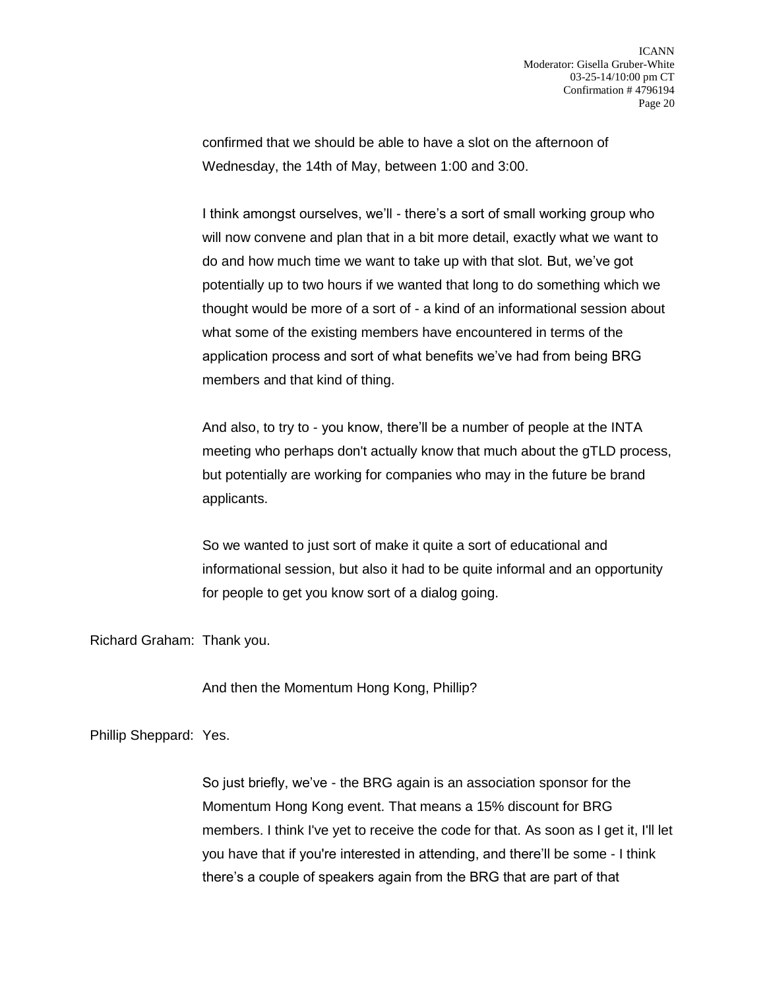confirmed that we should be able to have a slot on the afternoon of Wednesday, the 14th of May, between 1:00 and 3:00.

I think amongst ourselves, we'll - there's a sort of small working group who will now convene and plan that in a bit more detail, exactly what we want to do and how much time we want to take up with that slot. But, we've got potentially up to two hours if we wanted that long to do something which we thought would be more of a sort of - a kind of an informational session about what some of the existing members have encountered in terms of the application process and sort of what benefits we've had from being BRG members and that kind of thing.

And also, to try to - you know, there'll be a number of people at the INTA meeting who perhaps don't actually know that much about the gTLD process, but potentially are working for companies who may in the future be brand applicants.

So we wanted to just sort of make it quite a sort of educational and informational session, but also it had to be quite informal and an opportunity for people to get you know sort of a dialog going.

Richard Graham: Thank you.

And then the Momentum Hong Kong, Phillip?

Phillip Sheppard: Yes.

So just briefly, we've - the BRG again is an association sponsor for the Momentum Hong Kong event. That means a 15% discount for BRG members. I think I've yet to receive the code for that. As soon as I get it, I'll let you have that if you're interested in attending, and there'll be some - I think there's a couple of speakers again from the BRG that are part of that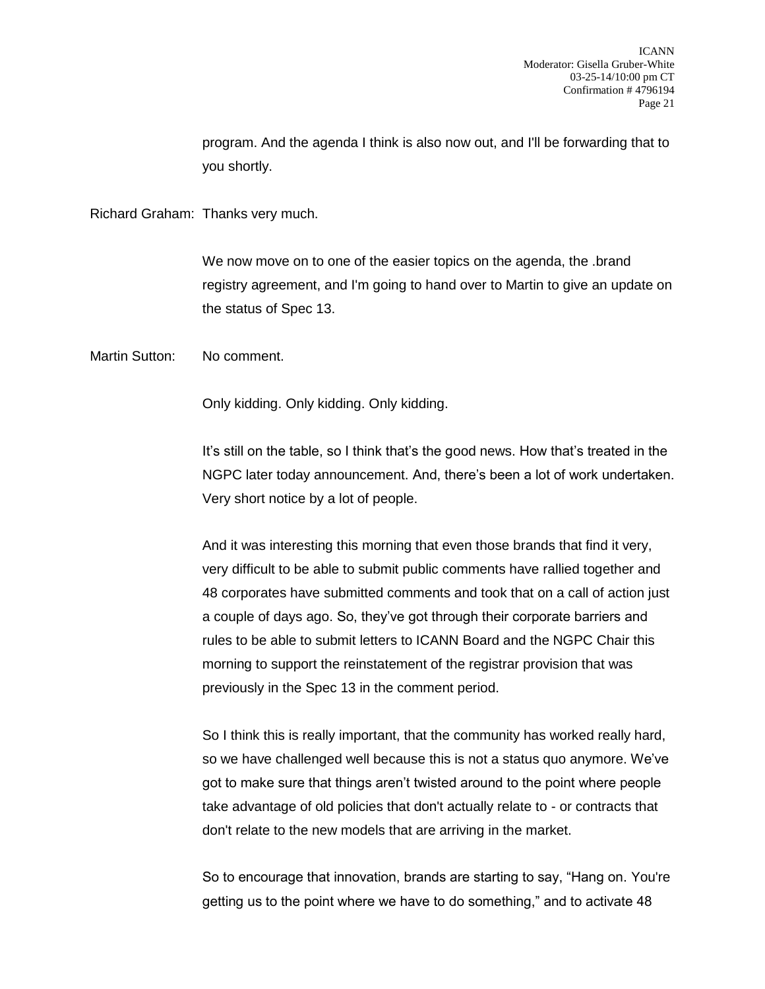program. And the agenda I think is also now out, and I'll be forwarding that to you shortly.

Richard Graham: Thanks very much.

We now move on to one of the easier topics on the agenda, the .brand registry agreement, and I'm going to hand over to Martin to give an update on the status of Spec 13.

Martin Sutton: No comment.

Only kidding. Only kidding. Only kidding.

It's still on the table, so I think that's the good news. How that's treated in the NGPC later today announcement. And, there's been a lot of work undertaken. Very short notice by a lot of people.

And it was interesting this morning that even those brands that find it very, very difficult to be able to submit public comments have rallied together and 48 corporates have submitted comments and took that on a call of action just a couple of days ago. So, they've got through their corporate barriers and rules to be able to submit letters to ICANN Board and the NGPC Chair this morning to support the reinstatement of the registrar provision that was previously in the Spec 13 in the comment period.

So I think this is really important, that the community has worked really hard, so we have challenged well because this is not a status quo anymore. We've got to make sure that things aren't twisted around to the point where people take advantage of old policies that don't actually relate to - or contracts that don't relate to the new models that are arriving in the market.

So to encourage that innovation, brands are starting to say, "Hang on. You're getting us to the point where we have to do something," and to activate 48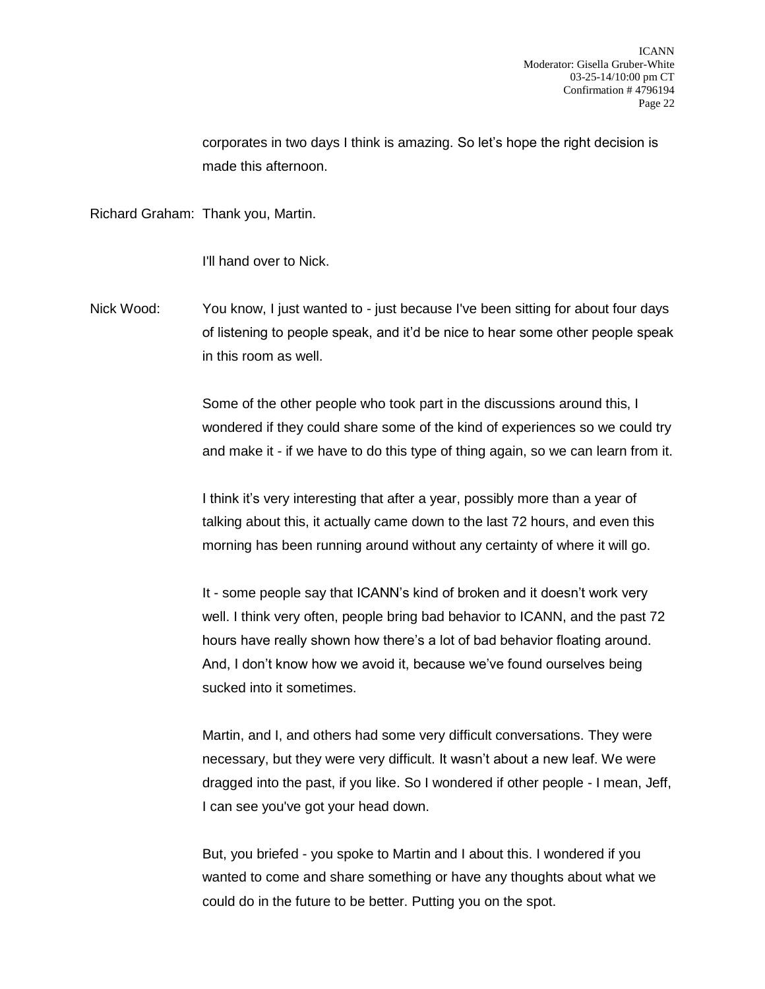corporates in two days I think is amazing. So let's hope the right decision is made this afternoon.

Richard Graham: Thank you, Martin.

I'll hand over to Nick.

Nick Wood: You know, I just wanted to - just because I've been sitting for about four days of listening to people speak, and it'd be nice to hear some other people speak in this room as well.

> Some of the other people who took part in the discussions around this, I wondered if they could share some of the kind of experiences so we could try and make it - if we have to do this type of thing again, so we can learn from it.

I think it's very interesting that after a year, possibly more than a year of talking about this, it actually came down to the last 72 hours, and even this morning has been running around without any certainty of where it will go.

It - some people say that ICANN's kind of broken and it doesn't work very well. I think very often, people bring bad behavior to ICANN, and the past 72 hours have really shown how there's a lot of bad behavior floating around. And, I don't know how we avoid it, because we've found ourselves being sucked into it sometimes.

Martin, and I, and others had some very difficult conversations. They were necessary, but they were very difficult. It wasn't about a new leaf. We were dragged into the past, if you like. So I wondered if other people - I mean, Jeff, I can see you've got your head down.

But, you briefed - you spoke to Martin and I about this. I wondered if you wanted to come and share something or have any thoughts about what we could do in the future to be better. Putting you on the spot.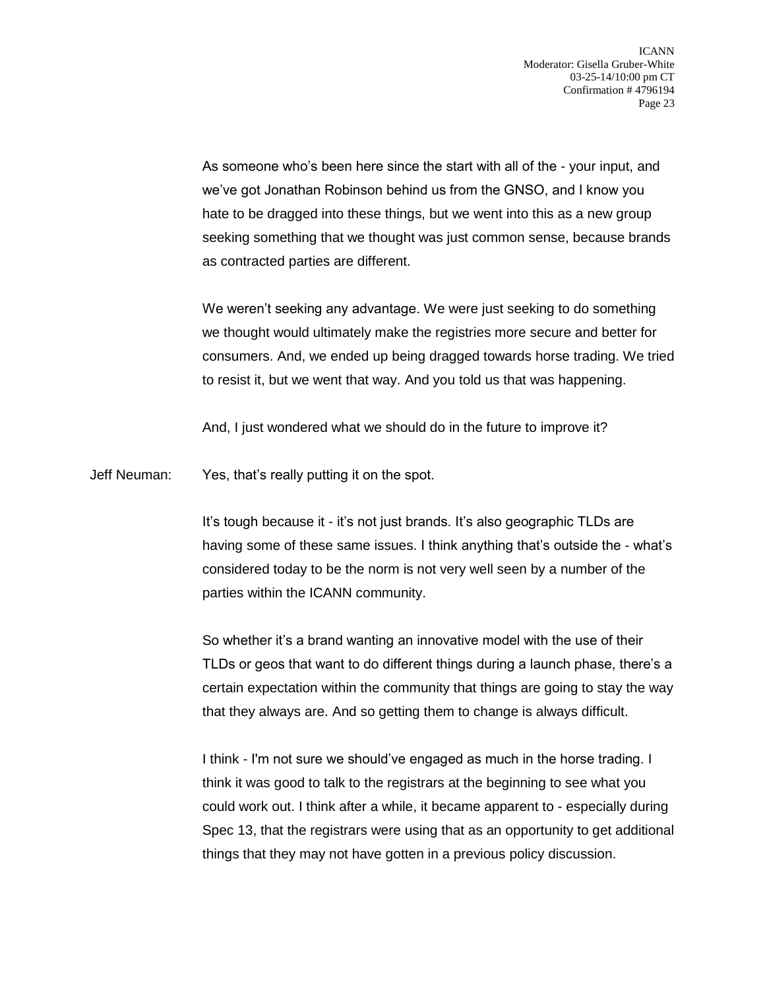As someone who's been here since the start with all of the - your input, and we've got Jonathan Robinson behind us from the GNSO, and I know you hate to be dragged into these things, but we went into this as a new group seeking something that we thought was just common sense, because brands as contracted parties are different.

We weren't seeking any advantage. We were just seeking to do something we thought would ultimately make the registries more secure and better for consumers. And, we ended up being dragged towards horse trading. We tried to resist it, but we went that way. And you told us that was happening.

And, I just wondered what we should do in the future to improve it?

Jeff Neuman: Yes, that's really putting it on the spot.

It's tough because it - it's not just brands. It's also geographic TLDs are having some of these same issues. I think anything that's outside the - what's considered today to be the norm is not very well seen by a number of the parties within the ICANN community.

So whether it's a brand wanting an innovative model with the use of their TLDs or geos that want to do different things during a launch phase, there's a certain expectation within the community that things are going to stay the way that they always are. And so getting them to change is always difficult.

I think - I'm not sure we should've engaged as much in the horse trading. I think it was good to talk to the registrars at the beginning to see what you could work out. I think after a while, it became apparent to - especially during Spec 13, that the registrars were using that as an opportunity to get additional things that they may not have gotten in a previous policy discussion.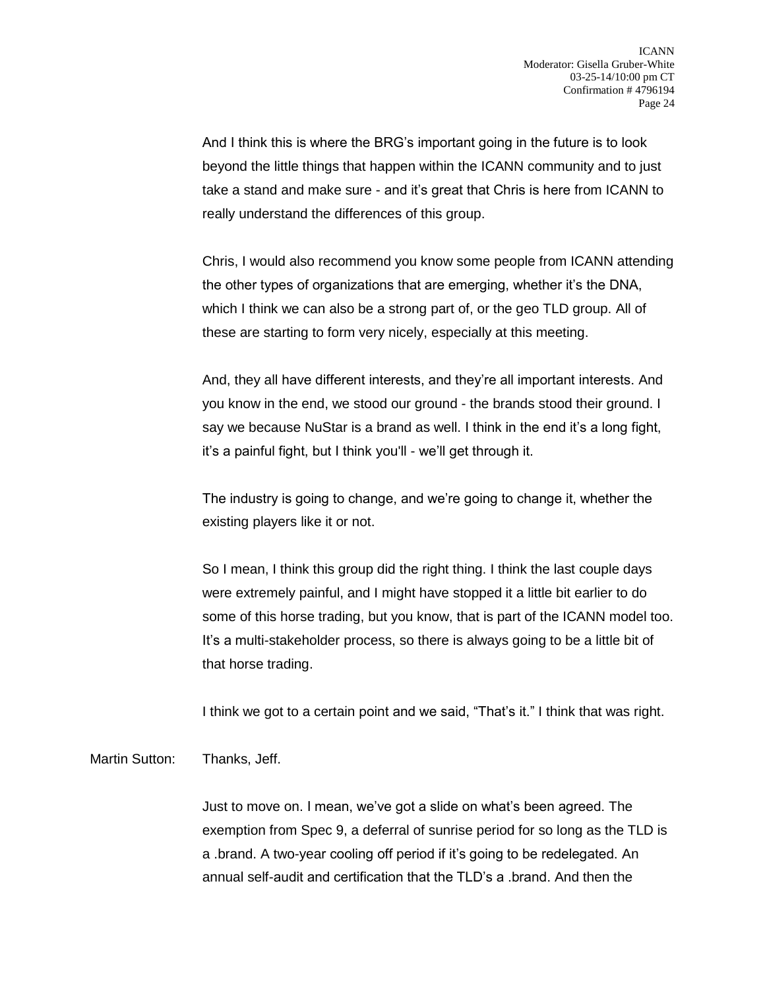And I think this is where the BRG's important going in the future is to look beyond the little things that happen within the ICANN community and to just take a stand and make sure - and it's great that Chris is here from ICANN to really understand the differences of this group.

Chris, I would also recommend you know some people from ICANN attending the other types of organizations that are emerging, whether it's the DNA, which I think we can also be a strong part of, or the geo TLD group. All of these are starting to form very nicely, especially at this meeting.

And, they all have different interests, and they're all important interests. And you know in the end, we stood our ground - the brands stood their ground. I say we because NuStar is a brand as well. I think in the end it's a long fight, it's a painful fight, but I think you'll - we'll get through it.

The industry is going to change, and we're going to change it, whether the existing players like it or not.

So I mean, I think this group did the right thing. I think the last couple days were extremely painful, and I might have stopped it a little bit earlier to do some of this horse trading, but you know, that is part of the ICANN model too. It's a multi-stakeholder process, so there is always going to be a little bit of that horse trading.

I think we got to a certain point and we said, "That's it." I think that was right.

Martin Sutton: Thanks, Jeff.

Just to move on. I mean, we've got a slide on what's been agreed. The exemption from Spec 9, a deferral of sunrise period for so long as the TLD is a .brand. A two-year cooling off period if it's going to be redelegated. An annual self-audit and certification that the TLD's a .brand. And then the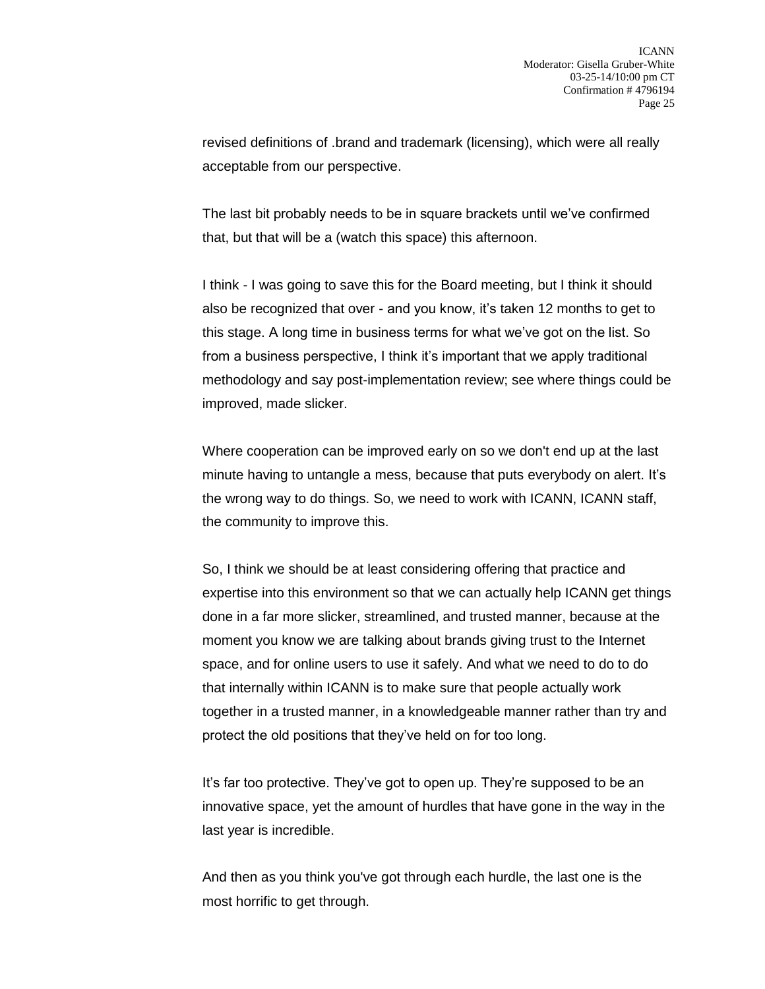revised definitions of .brand and trademark (licensing), which were all really acceptable from our perspective.

The last bit probably needs to be in square brackets until we've confirmed that, but that will be a (watch this space) this afternoon.

I think - I was going to save this for the Board meeting, but I think it should also be recognized that over - and you know, it's taken 12 months to get to this stage. A long time in business terms for what we've got on the list. So from a business perspective, I think it's important that we apply traditional methodology and say post-implementation review; see where things could be improved, made slicker.

Where cooperation can be improved early on so we don't end up at the last minute having to untangle a mess, because that puts everybody on alert. It's the wrong way to do things. So, we need to work with ICANN, ICANN staff, the community to improve this.

So, I think we should be at least considering offering that practice and expertise into this environment so that we can actually help ICANN get things done in a far more slicker, streamlined, and trusted manner, because at the moment you know we are talking about brands giving trust to the Internet space, and for online users to use it safely. And what we need to do to do that internally within ICANN is to make sure that people actually work together in a trusted manner, in a knowledgeable manner rather than try and protect the old positions that they've held on for too long.

It's far too protective. They've got to open up. They're supposed to be an innovative space, yet the amount of hurdles that have gone in the way in the last year is incredible.

And then as you think you've got through each hurdle, the last one is the most horrific to get through.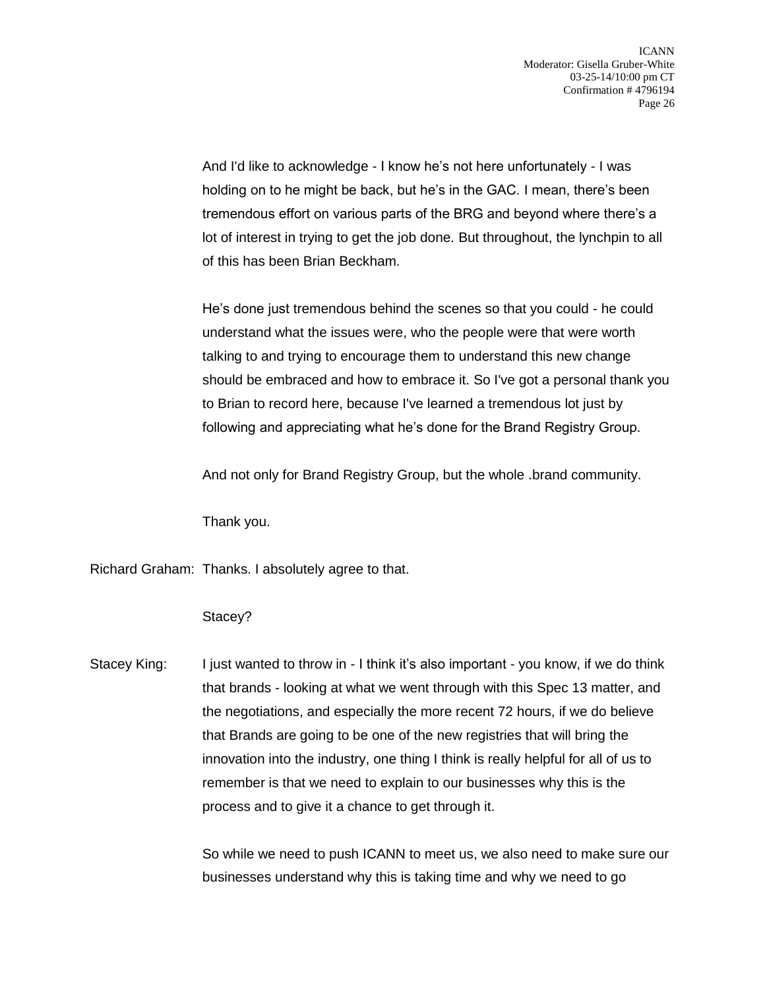And I'd like to acknowledge - I know he's not here unfortunately - I was holding on to he might be back, but he's in the GAC. I mean, there's been tremendous effort on various parts of the BRG and beyond where there's a lot of interest in trying to get the job done. But throughout, the lynchpin to all of this has been Brian Beckham.

He's done just tremendous behind the scenes so that you could - he could understand what the issues were, who the people were that were worth talking to and trying to encourage them to understand this new change should be embraced and how to embrace it. So I've got a personal thank you to Brian to record here, because I've learned a tremendous lot just by following and appreciating what he's done for the Brand Registry Group.

And not only for Brand Registry Group, but the whole .brand community.

Thank you.

Richard Graham: Thanks. I absolutely agree to that.

## Stacey?

Stacey King: I just wanted to throw in - I think it's also important - you know, if we do think that brands - looking at what we went through with this Spec 13 matter, and the negotiations, and especially the more recent 72 hours, if we do believe that Brands are going to be one of the new registries that will bring the innovation into the industry, one thing I think is really helpful for all of us to remember is that we need to explain to our businesses why this is the process and to give it a chance to get through it.

> So while we need to push ICANN to meet us, we also need to make sure our businesses understand why this is taking time and why we need to go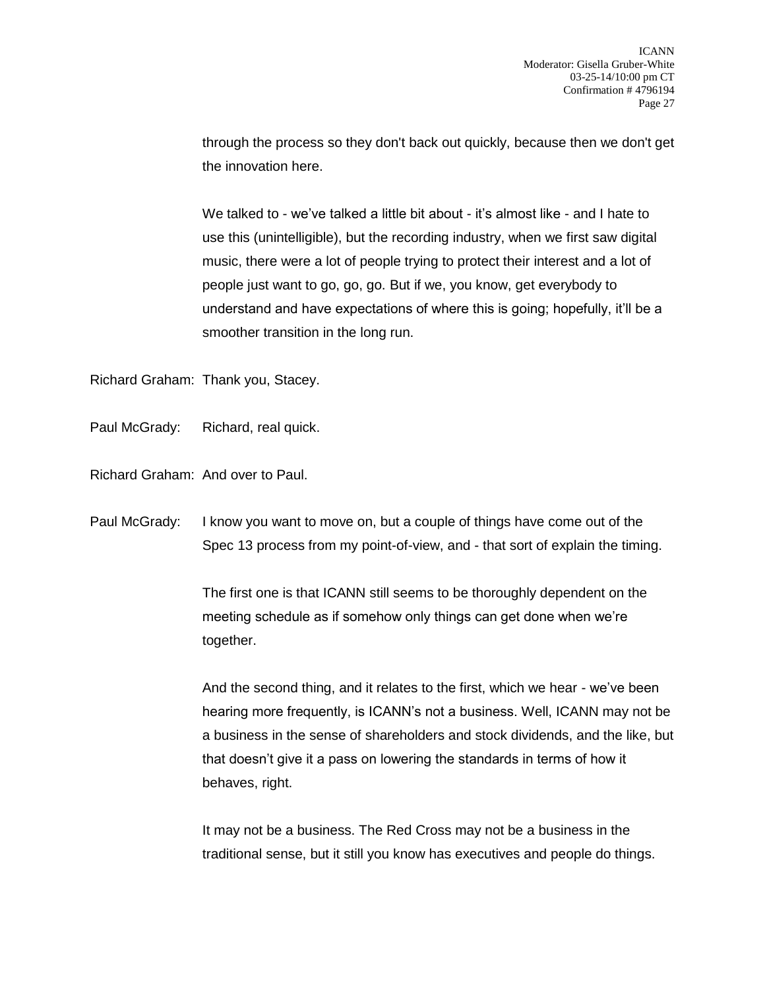through the process so they don't back out quickly, because then we don't get the innovation here.

We talked to - we've talked a little bit about - it's almost like - and I hate to use this (unintelligible), but the recording industry, when we first saw digital music, there were a lot of people trying to protect their interest and a lot of people just want to go, go, go. But if we, you know, get everybody to understand and have expectations of where this is going; hopefully, it'll be a smoother transition in the long run.

Richard Graham: Thank you, Stacey.

Paul McGrady: Richard, real quick.

Richard Graham: And over to Paul.

Paul McGrady: I know you want to move on, but a couple of things have come out of the Spec 13 process from my point-of-view, and - that sort of explain the timing.

> The first one is that ICANN still seems to be thoroughly dependent on the meeting schedule as if somehow only things can get done when we're together.

And the second thing, and it relates to the first, which we hear - we've been hearing more frequently, is ICANN's not a business. Well, ICANN may not be a business in the sense of shareholders and stock dividends, and the like, but that doesn't give it a pass on lowering the standards in terms of how it behaves, right.

It may not be a business. The Red Cross may not be a business in the traditional sense, but it still you know has executives and people do things.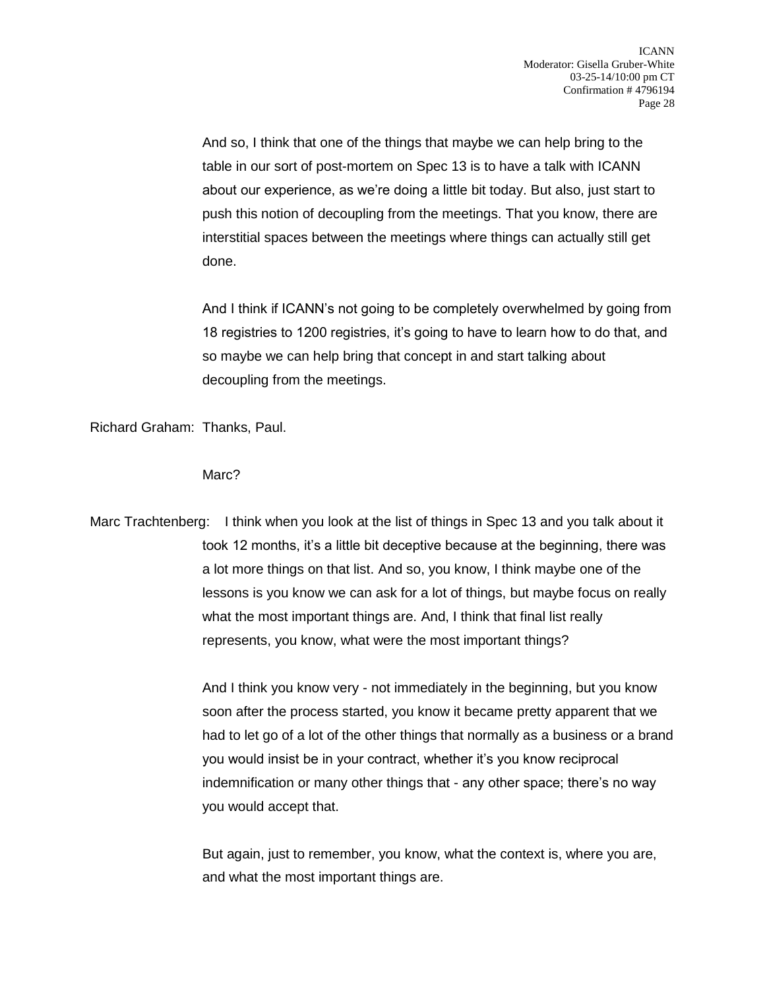And so, I think that one of the things that maybe we can help bring to the table in our sort of post-mortem on Spec 13 is to have a talk with ICANN about our experience, as we're doing a little bit today. But also, just start to push this notion of decoupling from the meetings. That you know, there are interstitial spaces between the meetings where things can actually still get done.

And I think if ICANN's not going to be completely overwhelmed by going from 18 registries to 1200 registries, it's going to have to learn how to do that, and so maybe we can help bring that concept in and start talking about decoupling from the meetings.

Richard Graham: Thanks, Paul.

Marc?

Marc Trachtenberg: I think when you look at the list of things in Spec 13 and you talk about it took 12 months, it's a little bit deceptive because at the beginning, there was a lot more things on that list. And so, you know, I think maybe one of the lessons is you know we can ask for a lot of things, but maybe focus on really what the most important things are. And, I think that final list really represents, you know, what were the most important things?

> And I think you know very - not immediately in the beginning, but you know soon after the process started, you know it became pretty apparent that we had to let go of a lot of the other things that normally as a business or a brand you would insist be in your contract, whether it's you know reciprocal indemnification or many other things that - any other space; there's no way you would accept that.

But again, just to remember, you know, what the context is, where you are, and what the most important things are.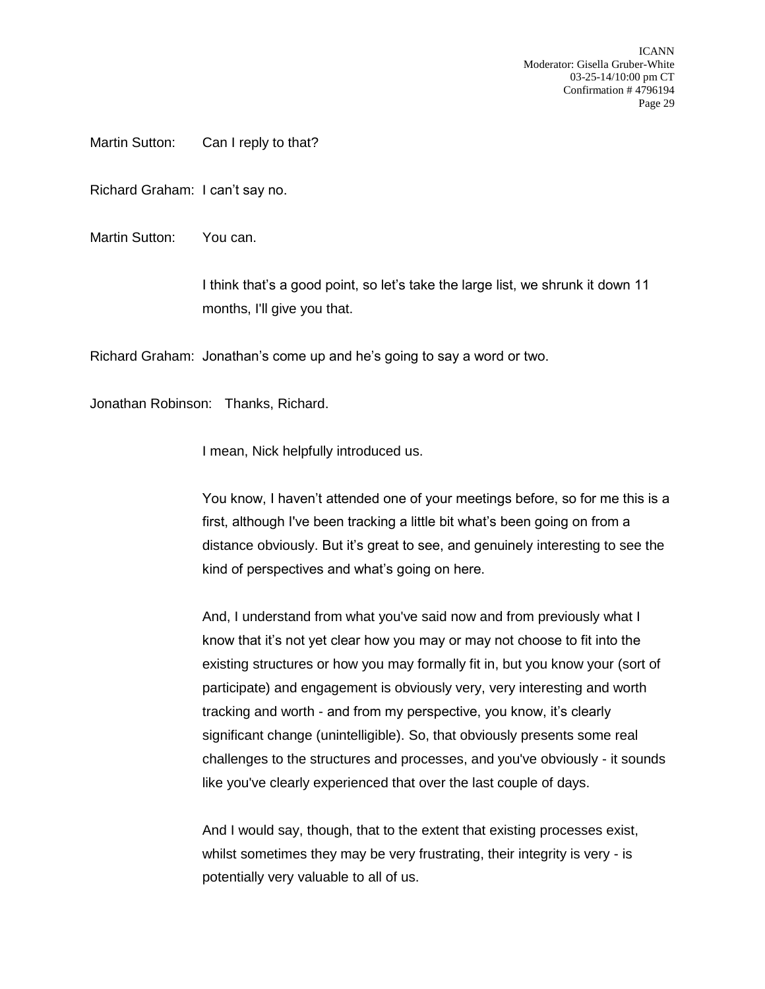ICANN Moderator: Gisella Gruber-White 03-25-14/10:00 pm CT Confirmation # 4796194 Page 29

Martin Sutton: Can I reply to that?

Richard Graham: I can't say no.

Martin Sutton: You can.

I think that's a good point, so let's take the large list, we shrunk it down 11 months, I'll give you that.

Richard Graham: Jonathan's come up and he's going to say a word or two.

Jonathan Robinson: Thanks, Richard.

I mean, Nick helpfully introduced us.

You know, I haven't attended one of your meetings before, so for me this is a first, although I've been tracking a little bit what's been going on from a distance obviously. But it's great to see, and genuinely interesting to see the kind of perspectives and what's going on here.

And, I understand from what you've said now and from previously what I know that it's not yet clear how you may or may not choose to fit into the existing structures or how you may formally fit in, but you know your (sort of participate) and engagement is obviously very, very interesting and worth tracking and worth - and from my perspective, you know, it's clearly significant change (unintelligible). So, that obviously presents some real challenges to the structures and processes, and you've obviously - it sounds like you've clearly experienced that over the last couple of days.

And I would say, though, that to the extent that existing processes exist, whilst sometimes they may be very frustrating, their integrity is very - is potentially very valuable to all of us.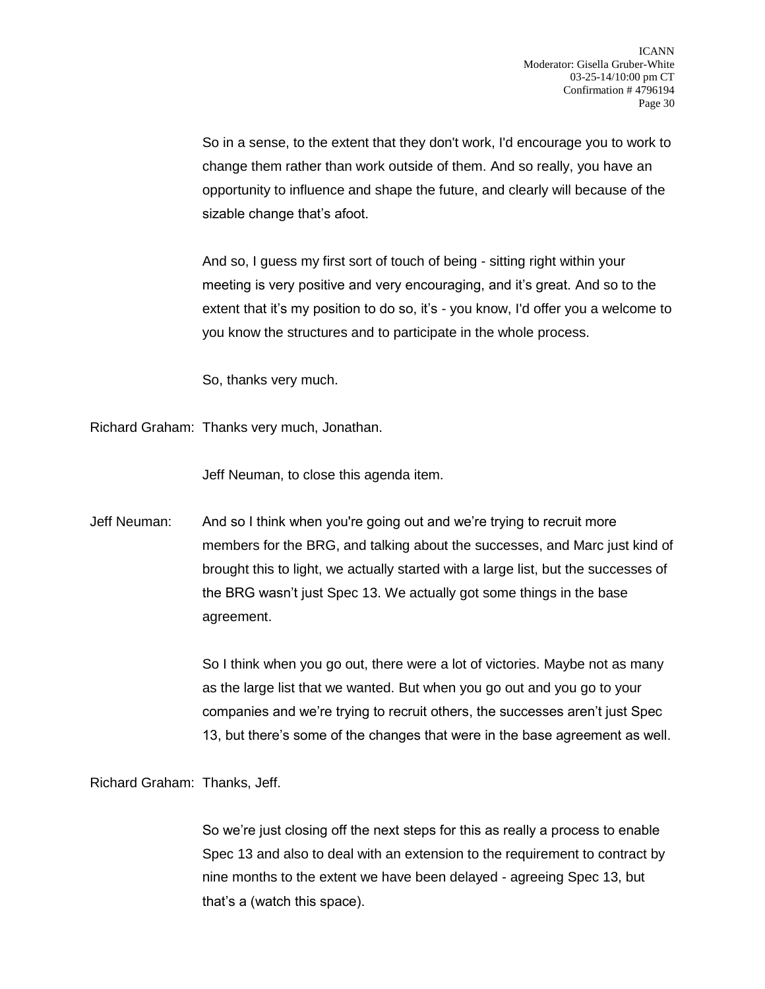So in a sense, to the extent that they don't work, I'd encourage you to work to change them rather than work outside of them. And so really, you have an opportunity to influence and shape the future, and clearly will because of the sizable change that's afoot.

And so, I guess my first sort of touch of being - sitting right within your meeting is very positive and very encouraging, and it's great. And so to the extent that it's my position to do so, it's - you know, I'd offer you a welcome to you know the structures and to participate in the whole process.

So, thanks very much.

Richard Graham: Thanks very much, Jonathan.

Jeff Neuman, to close this agenda item.

Jeff Neuman: And so I think when you're going out and we're trying to recruit more members for the BRG, and talking about the successes, and Marc just kind of brought this to light, we actually started with a large list, but the successes of the BRG wasn't just Spec 13. We actually got some things in the base agreement.

> So I think when you go out, there were a lot of victories. Maybe not as many as the large list that we wanted. But when you go out and you go to your companies and we're trying to recruit others, the successes aren't just Spec 13, but there's some of the changes that were in the base agreement as well.

Richard Graham: Thanks, Jeff.

So we're just closing off the next steps for this as really a process to enable Spec 13 and also to deal with an extension to the requirement to contract by nine months to the extent we have been delayed - agreeing Spec 13, but that's a (watch this space).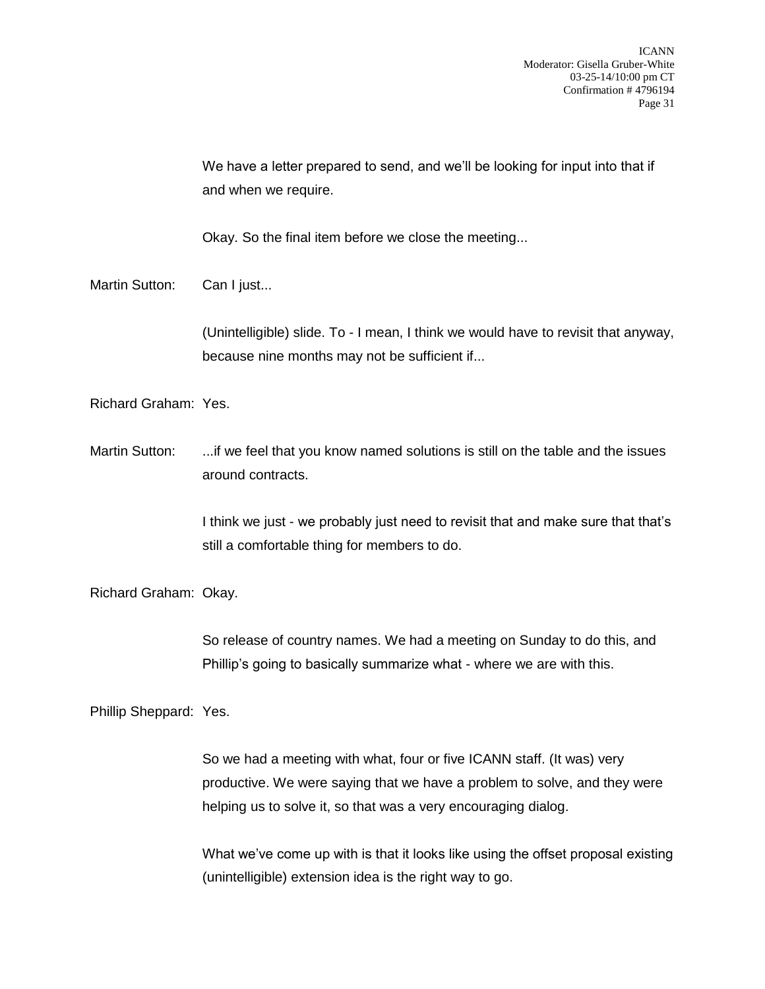We have a letter prepared to send, and we'll be looking for input into that if and when we require.

Okay. So the final item before we close the meeting...

Martin Sutton: Can I just...

(Unintelligible) slide. To - I mean, I think we would have to revisit that anyway, because nine months may not be sufficient if...

Richard Graham: Yes.

Martin Sutton: ...if we feel that you know named solutions is still on the table and the issues around contracts.

> I think we just - we probably just need to revisit that and make sure that that's still a comfortable thing for members to do.

Richard Graham: Okay.

So release of country names. We had a meeting on Sunday to do this, and Phillip's going to basically summarize what - where we are with this.

Phillip Sheppard: Yes.

So we had a meeting with what, four or five ICANN staff. (It was) very productive. We were saying that we have a problem to solve, and they were helping us to solve it, so that was a very encouraging dialog.

What we've come up with is that it looks like using the offset proposal existing (unintelligible) extension idea is the right way to go.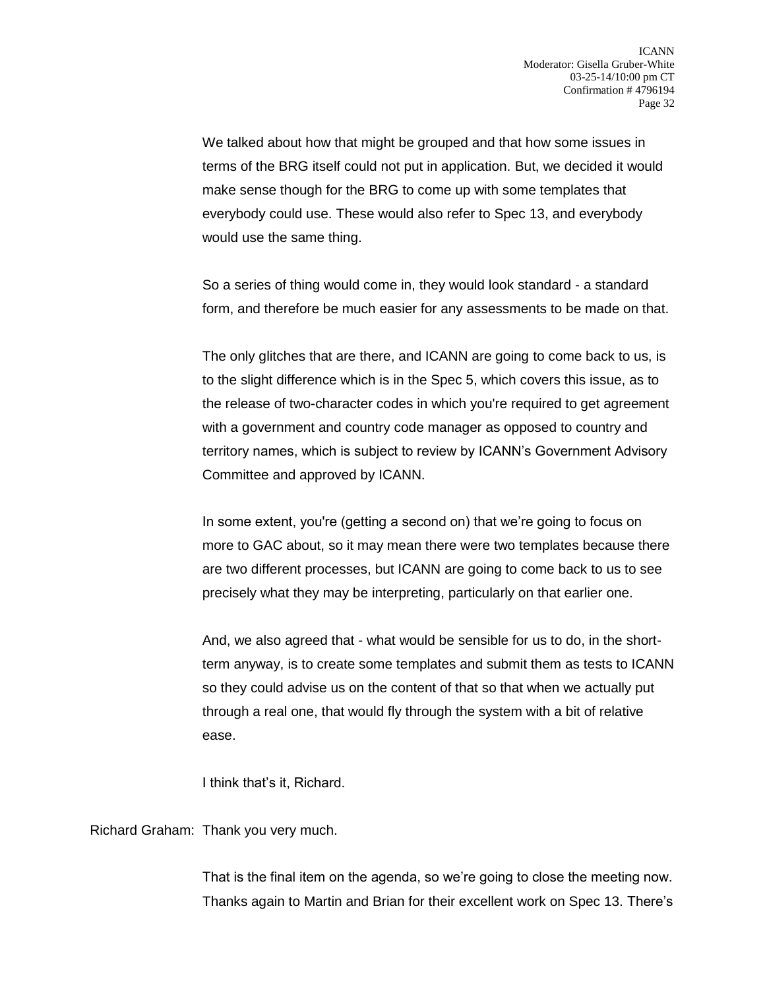We talked about how that might be grouped and that how some issues in terms of the BRG itself could not put in application. But, we decided it would make sense though for the BRG to come up with some templates that everybody could use. These would also refer to Spec 13, and everybody would use the same thing.

So a series of thing would come in, they would look standard - a standard form, and therefore be much easier for any assessments to be made on that.

The only glitches that are there, and ICANN are going to come back to us, is to the slight difference which is in the Spec 5, which covers this issue, as to the release of two-character codes in which you're required to get agreement with a government and country code manager as opposed to country and territory names, which is subject to review by ICANN's Government Advisory Committee and approved by ICANN.

In some extent, you're (getting a second on) that we're going to focus on more to GAC about, so it may mean there were two templates because there are two different processes, but ICANN are going to come back to us to see precisely what they may be interpreting, particularly on that earlier one.

And, we also agreed that - what would be sensible for us to do, in the shortterm anyway, is to create some templates and submit them as tests to ICANN so they could advise us on the content of that so that when we actually put through a real one, that would fly through the system with a bit of relative ease.

I think that's it, Richard.

Richard Graham: Thank you very much.

That is the final item on the agenda, so we're going to close the meeting now. Thanks again to Martin and Brian for their excellent work on Spec 13. There's